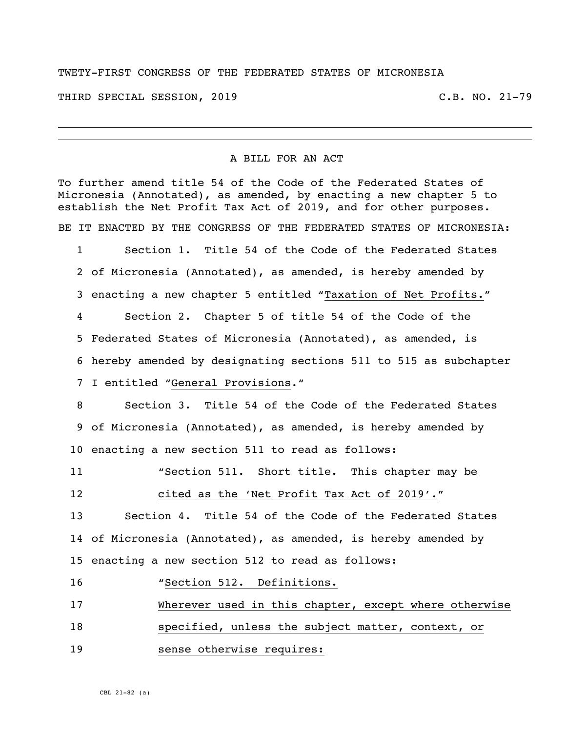## TWETY-FIRST CONGRESS OF THE FEDERATED STATES OF MICRONESIA

THIRD SPECIAL SESSION, 2019 C.B. NO. 21-79

## A BILL FOR AN ACT

To further amend title 54 of the Code of the Federated States of Micronesia (Annotated), as amended, by enacting a new chapter 5 to establish the Net Profit Tax Act of 2019, and for other purposes. BE IT ENACTED BY THE CONGRESS OF THE FEDERATED STATES OF MICRONESIA:

 Section 1. Title 54 of the Code of the Federated States of Micronesia (Annotated), as amended, is hereby amended by enacting a new chapter 5 entitled "Taxation of Net Profits." Section 2. Chapter 5 of title 54 of the Code of the Federated States of Micronesia (Annotated), as amended, is hereby amended by designating sections 511 to 515 as subchapter I entitled "General Provisions."

 Section 3. Title 54 of the Code of the Federated States of Micronesia (Annotated), as amended, is hereby amended by enacting a new section 511 to read as follows:

"Section 511. Short title**.** This chapter may be

cited as the 'Net Profit Tax Act of 2019'."

 Section 4. Title 54 of the Code of the Federated States of Micronesia (Annotated), as amended, is hereby amended by enacting a new section 512 to read as follows:

"Section 512. Definitions.

Wherever used in this chapter, except where otherwise

specified, unless the subject matter, context, or

sense otherwise requires:

CBL 21-82 (a)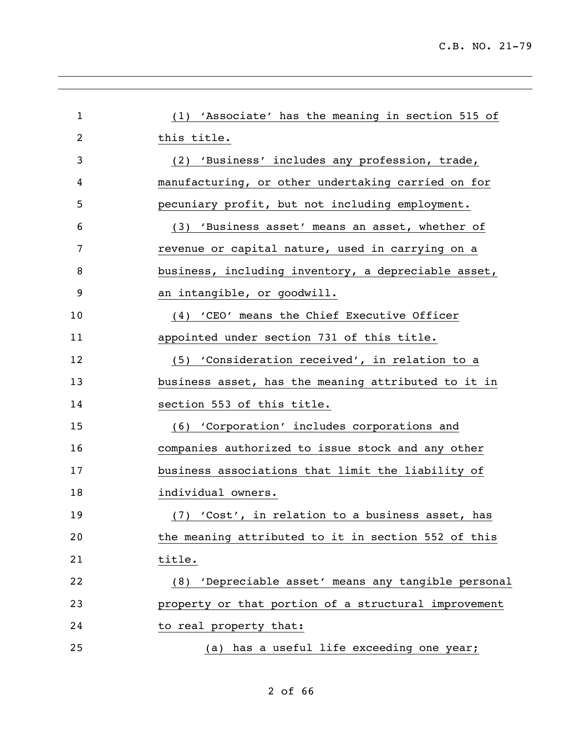| $\mathbf{1}$ | (1) 'Associate' has the meaning in section 515 of    |
|--------------|------------------------------------------------------|
| 2            | this title.                                          |
| 3            | (2) 'Business' includes any profession, trade,       |
| 4            | manufacturing, or other undertaking carried on for   |
| 5            | pecuniary profit, but not including employment.      |
| 6            | (3) 'Business asset' means an asset, whether of      |
| 7            | revenue or capital nature, used in carrying on a     |
| 8            | business, including inventory, a depreciable asset,  |
| 9            | an intangible, or goodwill.                          |
| 10           | (4) 'CEO' means the Chief Executive Officer          |
| 11           | appointed under section 731 of this title.           |
| 12           | (5) 'Consideration received', in relation to a       |
| 13           | business asset, has the meaning attributed to it in  |
| 14           | section 553 of this title.                           |
| 15           | (6) 'Corporation' includes corporations and          |
| 16           | companies authorized to issue stock and any other    |
| 17           | business associations that limit the liability of    |
| 18           | individual owners.                                   |
| 19           | (7) 'Cost', in relation to a business asset, has     |
| 20           | the meaning attributed to it in section 552 of this  |
| 21           | title.                                               |
| 22           | (8) 'Depreciable asset' means any tangible personal  |
| 23           | property or that portion of a structural improvement |
| 24           | to real property that:                               |
| 25           | (a) has a useful life exceeding one year;            |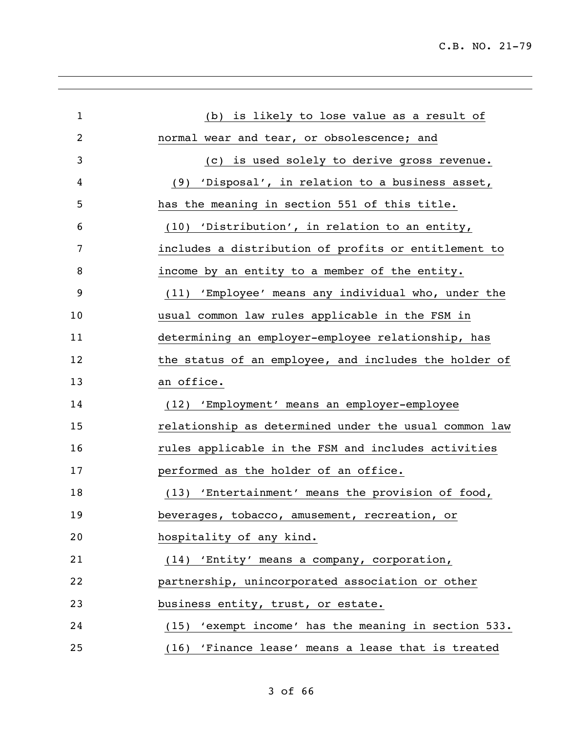| $\mathbf{1}$ | (b) is likely to lose value as a result of            |
|--------------|-------------------------------------------------------|
| 2            | normal wear and tear, or obsolescence; and            |
| 3            | is used solely to derive gross revenue.<br>(C)        |
| 4            | (9) 'Disposal', in relation to a business asset,      |
| 5            | has the meaning in section 551 of this title.         |
| 6            | (10) 'Distribution', in relation to an entity,        |
| 7            | includes a distribution of profits or entitlement to  |
| 8            | income by an entity to a member of the entity.        |
| 9            | (11) 'Employee' means any individual who, under the   |
| 10           | usual common law rules applicable in the FSM in       |
| 11           | determining an employer-employee relationship, has    |
| 12           | the status of an employee, and includes the holder of |
| 13           | an office.                                            |
| 14           | (12) 'Employment' means an employer-employee          |
| 15           | relationship as determined under the usual common law |
| 16           | rules applicable in the FSM and includes activities   |
| 17           | performed as the holder of an office.                 |
| 18           | (13) 'Entertainment' means the provision of food,     |
| 19           | beverages, tobacco, amusement, recreation, or         |
| 20           | hospitality of any kind.                              |
| 21           | (14) 'Entity' means a company, corporation,           |
| 22           | partnership, unincorporated association or other      |
| 23           | business entity, trust, or estate.                    |
| 24           | (15) 'exempt income' has the meaning in section 533.  |
| 25           | (16) 'Finance lease' means a lease that is treated    |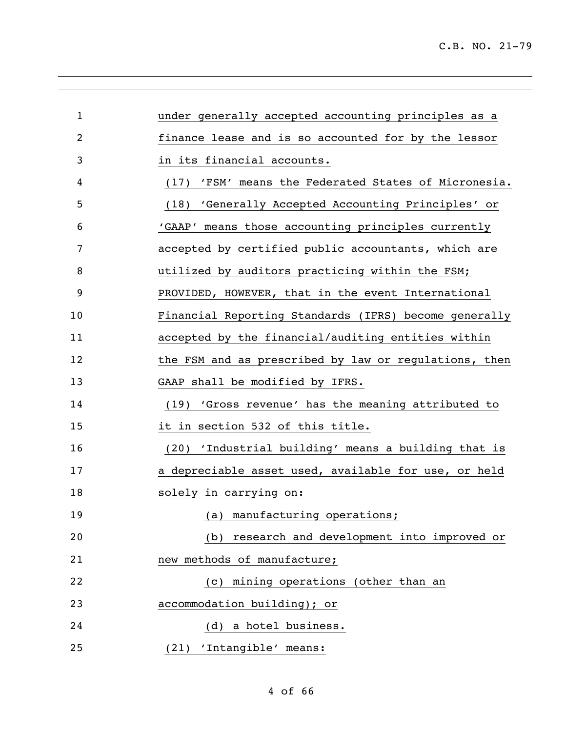| $\mathbf 1$ | under generally accepted accounting principles as a   |
|-------------|-------------------------------------------------------|
| 2           | finance lease and is so accounted for by the lessor   |
| 3           | in its financial accounts.                            |
| 4           | (17) 'FSM' means the Federated States of Micronesia.  |
| 5           | (18) 'Generally Accepted Accounting Principles' or    |
| 6           | 'GAAP' means those accounting principles currently    |
| 7           | accepted by certified public accountants, which are   |
| 8           | utilized by auditors practicing within the FSM;       |
| 9           | PROVIDED, HOWEVER, that in the event International    |
| 10          | Financial Reporting Standards (IFRS) become generally |
| 11          | accepted by the financial/auditing entities within    |
| 12          | the FSM and as prescribed by law or regulations, then |
| 13          | GAAP shall be modified by IFRS.                       |
| 14          | (19) 'Gross revenue' has the meaning attributed to    |
| 15          | it in section 532 of this title.                      |
| 16          | (20) 'Industrial building' means a building that is   |
| 17          | a depreciable asset used, available for use, or held  |
| 18          | solely in carrying on:                                |
| 19          | (a) manufacturing operations;                         |
| 20          | research and development into improved or<br>(b)      |
| 21          | new methods of manufacture;                           |
| 22          | mining operations (other than an<br>(C)               |
| 23          | accommodation building); or                           |
| 24          | (d) a hotel business.                                 |
| 25          | (21) 'Intangible' means:                              |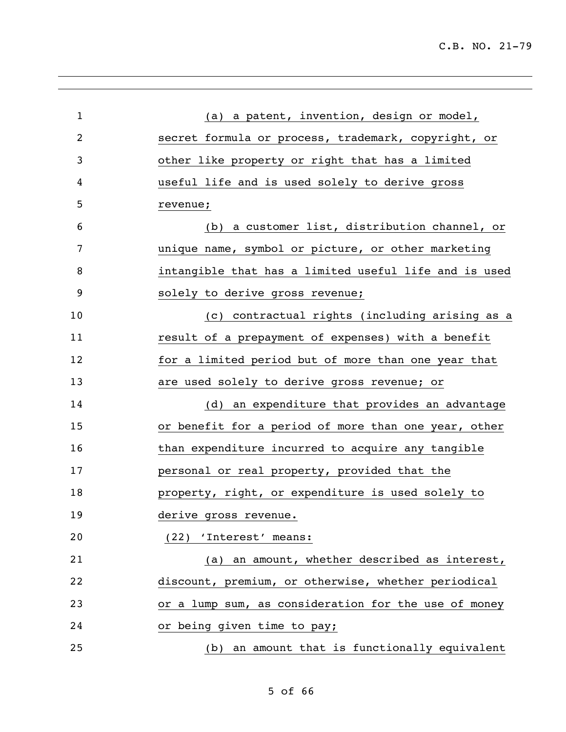| $\mathbf{1}$   | (a) a patent, invention, design or model,             |
|----------------|-------------------------------------------------------|
| $\overline{2}$ | secret formula or process, trademark, copyright, or   |
| 3              | other like property or right that has a limited       |
| 4              | useful life and is used solely to derive gross        |
| 5              | revenue;                                              |
| 6              | (b) a customer list, distribution channel, or         |
| 7              | unique name, symbol or picture, or other marketing    |
| 8              | intangible that has a limited useful life and is used |
| 9              | solely to derive gross revenue;                       |
| 10             | (c) contractual rights (including arising as a        |
| 11             | result of a prepayment of expenses) with a benefit    |
| 12             | for a limited period but of more than one year that   |
| 13             | are used solely to derive gross revenue; or           |
| 14             | (d) an expenditure that provides an advantage         |
| 15             | or benefit for a period of more than one year, other  |
| 16             | than expenditure incurred to acquire any tangible     |
| 17             | personal or real property, provided that the          |
| 18             | property, right, or expenditure is used solely to     |
| 19             | derive gross revenue.                                 |
| 20             | (22) 'Interest' means:                                |
| 21             | (a) an amount, whether described as interest,         |
| 22             | discount, premium, or otherwise, whether periodical   |
| 23             | or a lump sum, as consideration for the use of money  |
| 24             | or being given time to pay;                           |
| 25             | (b) an amount that is functionally equivalent         |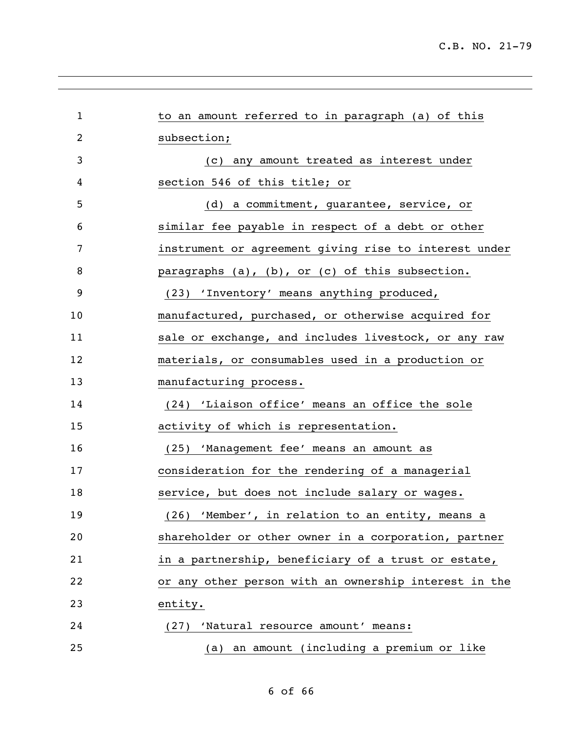| $\mathbf{1}$   | to an amount referred to in paragraph (a) of this     |
|----------------|-------------------------------------------------------|
| $\overline{c}$ | subsection;                                           |
| 3              | (c) any amount treated as interest under              |
| 4              | section 546 of this title; or                         |
| 5              | (d) a commitment, guarantee, service, or              |
| 6              | similar fee payable in respect of a debt or other     |
| 7              | instrument or agreement giving rise to interest under |
| 8              | paragraphs (a), (b), or (c) of this subsection.       |
| 9              | (23) 'Inventory' means anything produced,             |
| 10             | manufactured, purchased, or otherwise acquired for    |
| 11             | sale or exchange, and includes livestock, or any raw  |
| 12             | materials, or consumables used in a production or     |
| 13             | manufacturing process.                                |
| 14             | (24) 'Liaison office' means an office the sole        |
| 15             | activity of which is representation.                  |
| 16             | (25) 'Management fee' means an amount as              |
| 17             | consideration for the rendering of a managerial       |
| 18             | service, but does not include salary or wages.        |
| 19             | (26) 'Member', in relation to an entity, means a      |
| 20             | shareholder or other owner in a corporation, partner  |
| 21             | in a partnership, beneficiary of a trust or estate,   |
| 22             | or any other person with an ownership interest in the |
| 23             | entity.                                               |
| 24             | (27) 'Natural resource amount' means:                 |
| 25             | an amount (including a premium or like<br>(a)         |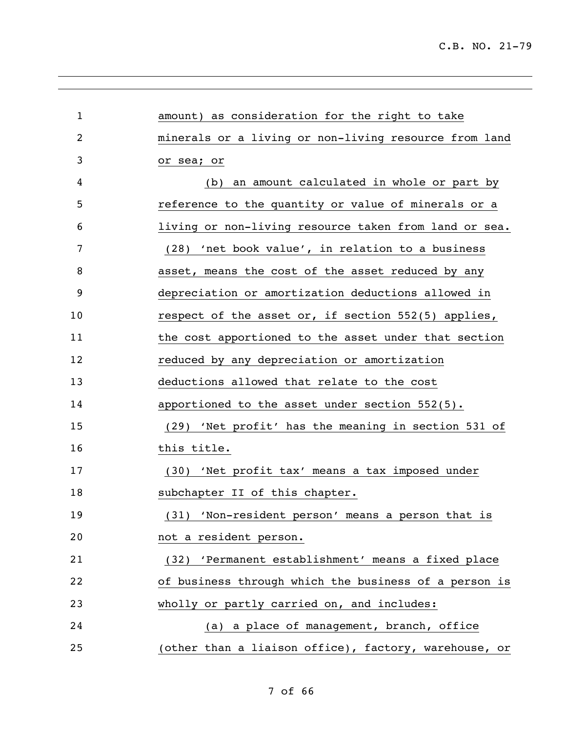| $\mathbf{1}$ | amount) as consideration for the right to take        |
|--------------|-------------------------------------------------------|
| 2            | minerals or a living or non-living resource from land |
| 3            | or sea; or                                            |
| 4            | an amount calculated in whole or part by<br>(b)       |
| 5            | reference to the quantity or value of minerals or a   |
| 6            | living or non-living resource taken from land or sea. |
| 7            | (28) 'net book value', in relation to a business      |
| 8            | asset, means the cost of the asset reduced by any     |
| 9            | depreciation or amortization deductions allowed in    |
| 10           | respect of the asset or, if section 552(5) applies,   |
| 11           | the cost apportioned to the asset under that section  |
| 12           | reduced by any depreciation or amortization           |
| 13           | deductions allowed that relate to the cost            |
| 14           | apportioned to the asset under section 552(5).        |
| 15           | (29) 'Net profit' has the meaning in section 531 of   |
| 16           | this title.                                           |
| 17           | (30) 'Net profit tax' means a tax imposed under       |
| 18           | subchapter II of this chapter.                        |
| 19           | (31) 'Non-resident person' means a person that is     |
| 20           | not a resident person.                                |
| 21           | (32) 'Permanent establishment' means a fixed place    |
| 22           | of business through which the business of a person is |
| 23           | wholly or partly carried on, and includes:            |
| 24           | (a) a place of management, branch, office             |
| 25           | (other than a liaison office), factory, warehouse, or |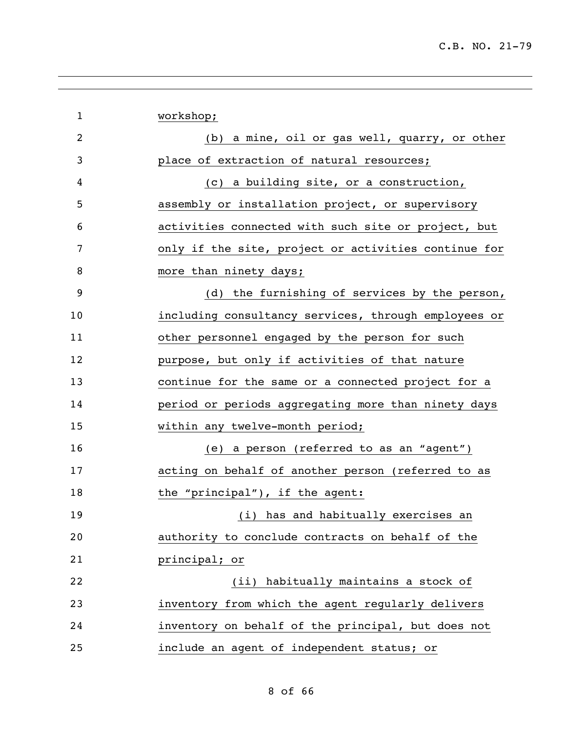| $\mathbf 1$ | workshop;                                            |
|-------------|------------------------------------------------------|
| 2           | (b) a mine, oil or gas well, quarry, or other        |
| 3           | place of extraction of natural resources;            |
| 4           | (c) a building site, or a construction,              |
| 5           | assembly or installation project, or supervisory     |
| 6           | activities connected with such site or project, but  |
| 7           | only if the site, project or activities continue for |
| 8           | more than ninety days;                               |
| 9           | (d) the furnishing of services by the person,        |
| 10          | including consultancy services, through employees or |
| 11          | other personnel engaged by the person for such       |
| 12          | purpose, but only if activities of that nature       |
| 13          | continue for the same or a connected project for a   |
| 14          | period or periods aggregating more than ninety days  |
| 15          | within any twelve-month period;                      |
| 16          | (e) a person (referred to as an "agent")             |
| 17          | acting on behalf of another person (referred to as   |
| 18          | the "principal"), if the agent:                      |
| 19          | (i) has and habitually exercises an                  |
| 20          | authority to conclude contracts on behalf of the     |
| 21          | principal; or                                        |
| 22          | (ii) habitually maintains a stock of                 |
| 23          | inventory from which the agent regularly delivers    |
| 24          | inventory on behalf of the principal, but does not   |
| 25          | include an agent of independent status; or           |
|             |                                                      |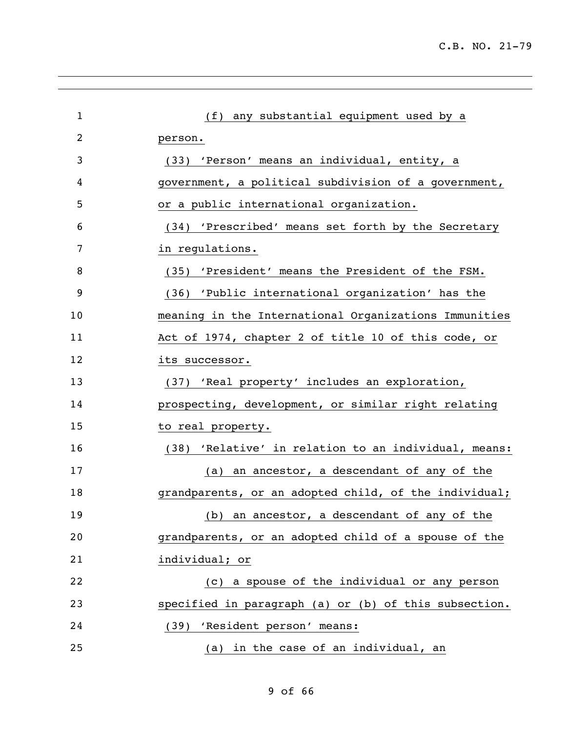| $\mathbf{1}$   | (f) any substantial equipment used by a               |
|----------------|-------------------------------------------------------|
| $\overline{c}$ | person.                                               |
| 3              | (33) 'Person' means an individual, entity, a          |
| 4              | government, a political subdivision of a government,  |
| 5              | or a public international organization.               |
| 6              | (34) 'Prescribed' means set forth by the Secretary    |
| 7              | in regulations.                                       |
| 8              | (35) 'President' means the President of the FSM.      |
| 9              | (36) 'Public international organization' has the      |
| 10             | meaning in the International Organizations Immunities |
| 11             | Act of 1974, chapter 2 of title 10 of this code, or   |
| 12             | its successor.                                        |
| 13             | (37) 'Real property' includes an exploration,         |
| 14             | prospecting, development, or similar right relating   |
| 15             | to real property.                                     |
| 16             | (38) 'Relative' in relation to an individual, means:  |
| 17             | (a) an ancestor, a descendant of any of the           |
| 18             | grandparents, or an adopted child, of the individual; |
| 19             | (b) an ancestor, a descendant of any of the           |
| 20             | grandparents, or an adopted child of a spouse of the  |
| 21             | individual; or                                        |
| 22             | (c) a spouse of the individual or any person          |
| 23             | specified in paragraph (a) or (b) of this subsection. |
| 24             | (39) 'Resident person' means:                         |
| 25             | (a) in the case of an individual, an                  |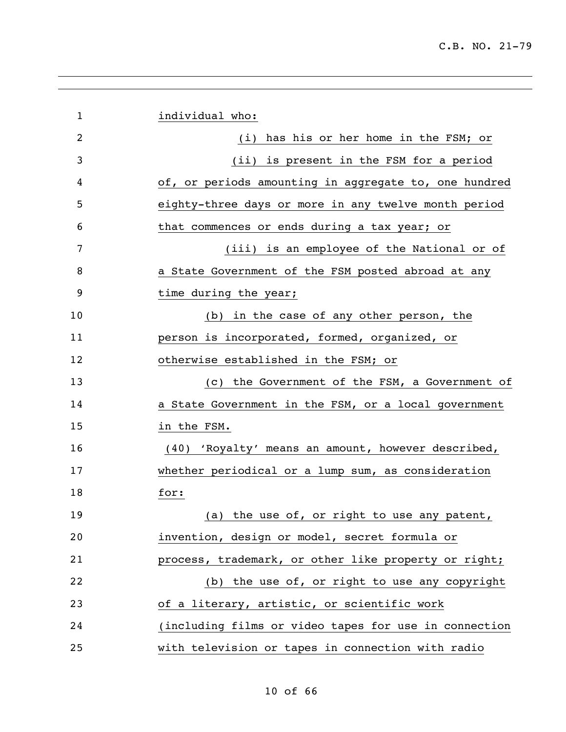| $\mathbf{1}$ | individual who:                                       |
|--------------|-------------------------------------------------------|
| 2            | has his or her home in the FSM; or<br>(i)             |
| 3            | (ii) is present in the FSM for a period               |
| 4            | of, or periods amounting in aggregate to, one hundred |
| 5            | eighty-three days or more in any twelve month period  |
| 6            | that commences or ends during a tax year; or          |
| 7            | (iii) is an employee of the National or of            |
| 8            | a State Government of the FSM posted abroad at any    |
| 9            | time during the year;                                 |
| 10           | (b) in the case of any other person, the              |
| 11           | person is incorporated, formed, organized, or         |
| 12           | otherwise established in the FSM; or                  |
| 13           | (c) the Government of the FSM, a Government of        |
| 14           | a State Government in the FSM, or a local government  |
| 15           | in the FSM.                                           |
| 16           | (40) 'Royalty' means an amount, however described,    |
| 17           | whether periodical or a lump sum, as consideration    |
| 18           | for:                                                  |
| 19           | (a) the use of, or right to use any patent,           |
| 20           | invention, design or model, secret formula or         |
| 21           | process, trademark, or other like property or right;  |
| 22           | (b) the use of, or right to use any copyright         |
| 23           | of a literary, artistic, or scientific work           |
| 24           | (including films or video tapes for use in connection |
| 25           | with television or tapes in connection with radio     |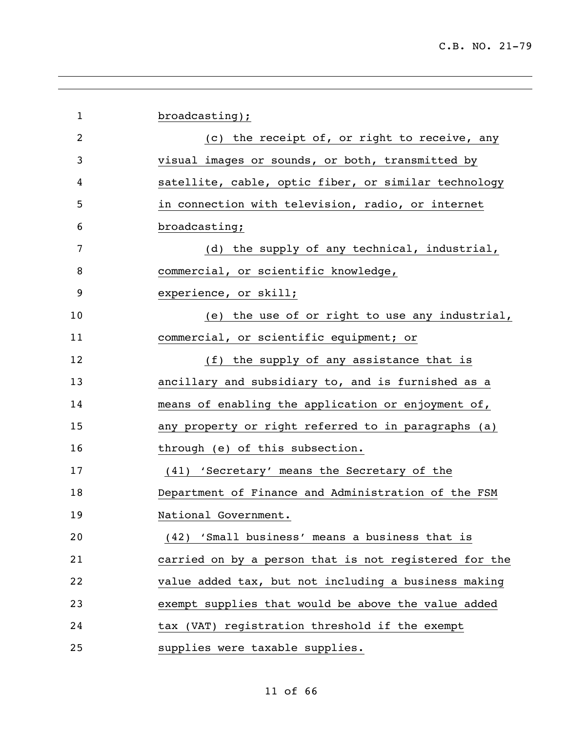| $\mathbf 1$ | broadcasting);                                        |
|-------------|-------------------------------------------------------|
| 2           | (c) the receipt of, or right to receive, any          |
| 3           | visual images or sounds, or both, transmitted by      |
| 4           | satellite, cable, optic fiber, or similar technology  |
| 5           | in connection with television, radio, or internet     |
| 6           | broadcasting;                                         |
| 7           | (d) the supply of any technical, industrial,          |
| 8           | commercial, or scientific knowledge,                  |
| 9           | experience, or skill;                                 |
| 10          | (e) the use of or right to use any industrial,        |
| 11          | commercial, or scientific equipment; or               |
| 12          | (f) the supply of any assistance that is              |
| 13          | ancillary and subsidiary to, and is furnished as a    |
| 14          | means of enabling the application or enjoyment of,    |
| 15          | any property or right referred to in paragraphs (a)   |
| 16          | through (e) of this subsection.                       |
| 17          | (41) 'Secretary' means the Secretary of the           |
| 18          | Department of Finance and Administration of the FSM   |
| 19          | National Government.                                  |
| 20          | (42) 'Small business' means a business that is        |
| 21          | carried on by a person that is not registered for the |
| 22          | value added tax, but not including a business making  |
| 23          | exempt supplies that would be above the value added   |
| 24          | tax (VAT) registration threshold if the exempt        |
| 25          | supplies were taxable supplies.                       |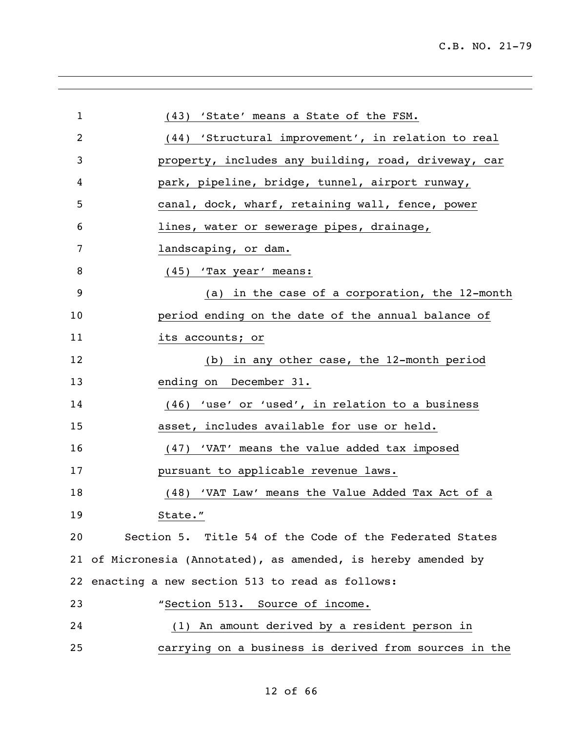| $\mathbf 1$ |                                                                |
|-------------|----------------------------------------------------------------|
|             | (43) 'State' means a State of the FSM.                         |
| 2           | (44) 'Structural improvement', in relation to real             |
| 3           | property, includes any building, road, driveway, car           |
| 4           | park, pipeline, bridge, tunnel, airport runway,                |
| 5           | canal, dock, wharf, retaining wall, fence, power               |
| 6           | lines, water or sewerage pipes, drainage,                      |
| 7           | landscaping, or dam.                                           |
| 8           | (45) 'Tax year' means:                                         |
| 9           | (a) in the case of a corporation, the 12-month                 |
| 10          | period ending on the date of the annual balance of             |
| 11          | its accounts; or                                               |
| 12          | (b) in any other case, the 12-month period                     |
| 13          | ending on December 31.                                         |
| 14          | (46) 'use' or 'used', in relation to a business                |
| 15          | asset, includes available for use or held.                     |
| 16          | (47) 'VAT' means the value added tax imposed                   |
| 17          | pursuant to applicable revenue laws.                           |
| 18          | (48) 'VAT Law' means the Value Added Tax Act of a              |
| 19          | State."                                                        |
| 20          | Section 5. Title 54 of the Code of the Federated States        |
|             | 21 of Micronesia (Annotated), as amended, is hereby amended by |
|             | 22 enacting a new section 513 to read as follows:              |
| 23          | "Section 513. Source of income.                                |
| 24          | (1) An amount derived by a resident person in                  |
| 25          | carrying on a business is derived from sources in the          |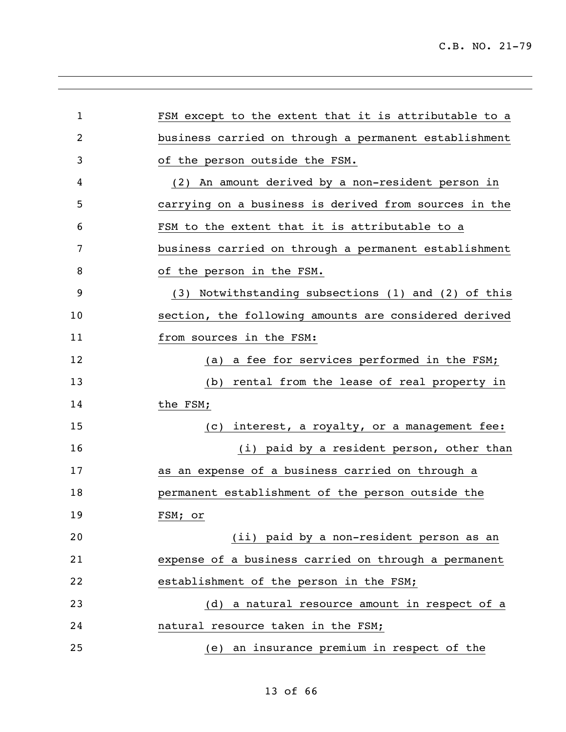| 1  | FSM except to the extent that it is attributable to a |
|----|-------------------------------------------------------|
| 2  | business carried on through a permanent establishment |
| 3  | of the person outside the FSM.                        |
| 4  | (2) An amount derived by a non-resident person in     |
| 5  | carrying on a business is derived from sources in the |
| 6  | FSM to the extent that it is attributable to a        |
| 7  | business carried on through a permanent establishment |
| 8  | of the person in the FSM.                             |
| 9  | (3) Notwithstanding subsections (1) and (2) of this   |
| 10 | section, the following amounts are considered derived |
| 11 | from sources in the FSM:                              |
| 12 | a fee for services performed in the FSM;<br>(a)       |
| 13 | rental from the lease of real property in<br>(b)      |
| 14 | the FSM;                                              |
| 15 | interest, a royalty, or a management fee:<br>(C)      |
| 16 | (i) paid by a resident person, other than             |
| 17 | as an expense of a business carried on through a      |
| 18 | permanent establishment of the person outside the     |
| 19 | FSM; or                                               |
| 20 | (ii) paid by a non-resident person as an              |
| 21 | expense of a business carried on through a permanent  |
| 22 | establishment of the person in the FSM;               |
| 23 | (d) a natural resource amount in respect of a         |
| 24 | natural resource taken in the FSM;                    |
| 25 | (e) an insurance premium in respect of the            |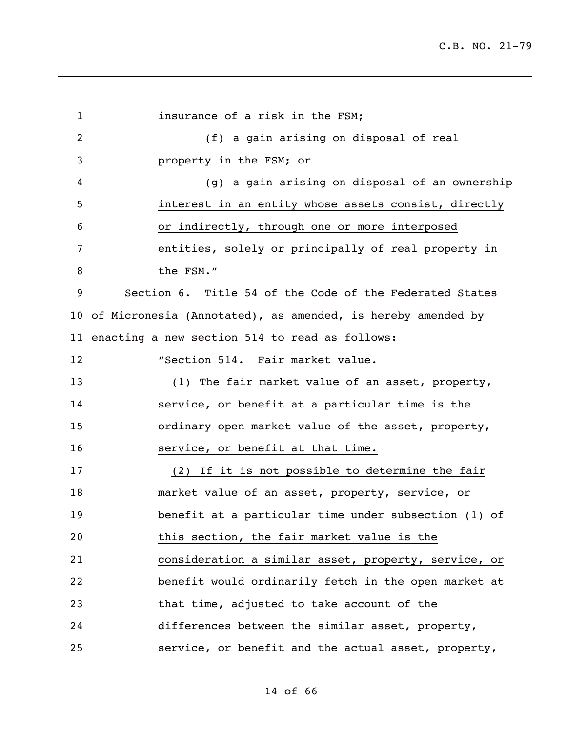| 1  | insurance of a risk in the FSM;                             |
|----|-------------------------------------------------------------|
| 2  | (f) a gain arising on disposal of real                      |
| 3  | property in the FSM; or                                     |
| 4  | (g) a gain arising on disposal of an ownership              |
| 5  | interest in an entity whose assets consist, directly        |
| 6  | or indirectly, through one or more interposed               |
| 7  | entities, solely or principally of real property in         |
| 8  | the FSM."                                                   |
| 9  | Section 6. Title 54 of the Code of the Federated States     |
| 10 | of Micronesia (Annotated), as amended, is hereby amended by |
| 11 | enacting a new section 514 to read as follows:              |
| 12 | "Section 514. Fair market value.                            |
| 13 | (1) The fair market value of an asset, property,            |
| 14 | service, or benefit at a particular time is the             |
| 15 | ordinary open market value of the asset, property,          |
| 16 | service, or benefit at that time.                           |
| 17 | (2) If it is not possible to determine the fair             |
| 18 | market value of an asset, property, service, or             |
| 19 | benefit at a particular time under subsection (1) of        |
| 20 | this section, the fair market value is the                  |
| 21 | consideration a similar asset, property, service, or        |
| 22 | benefit would ordinarily fetch in the open market at        |
| 23 | that time, adjusted to take account of the                  |
| 24 | differences between the similar asset, property,            |
| 25 | service, or benefit and the actual asset, property,         |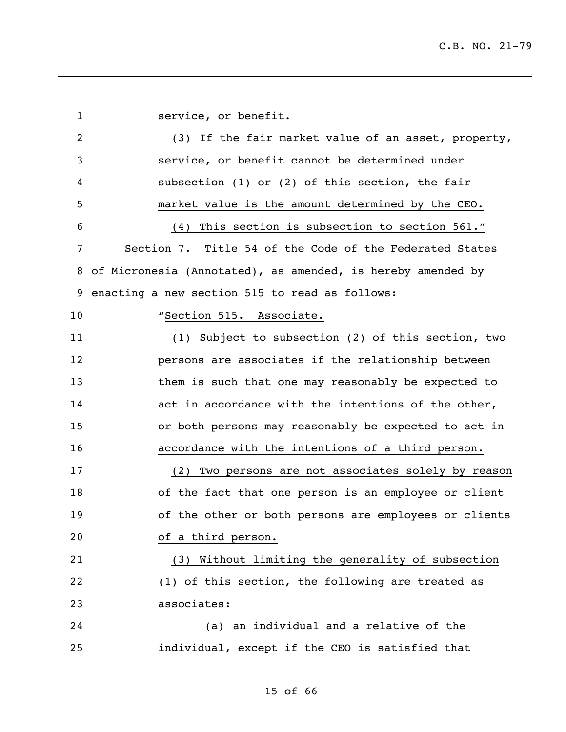service, or benefit. (3) If the fair market value of an asset, property, service, or benefit cannot be determined under subsection (1) or (2) of this section, the fair market value is the amount determined by the CEO. (4) This section is subsection to section 561." Section 7. Title 54 of the Code of the Federated States of Micronesia (Annotated), as amended, is hereby amended by enacting a new section 515 to read as follows: 10 "Section 515. Associate. (1) Subject to subsection (2) of this section, two persons are associates if the relationship between 13 them is such that one may reasonably be expected to act in accordance with the intentions of the other, or both persons may reasonably be expected to act in accordance with the intentions of a third person. (2) Two persons are not associates solely by reason of the fact that one person is an employee or client of the other or both persons are employees or clients of a third person. (3) Without limiting the generality of subsection (1) of this section, the following are treated as associates: (a) an individual and a relative of the individual, except if the CEO is satisfied that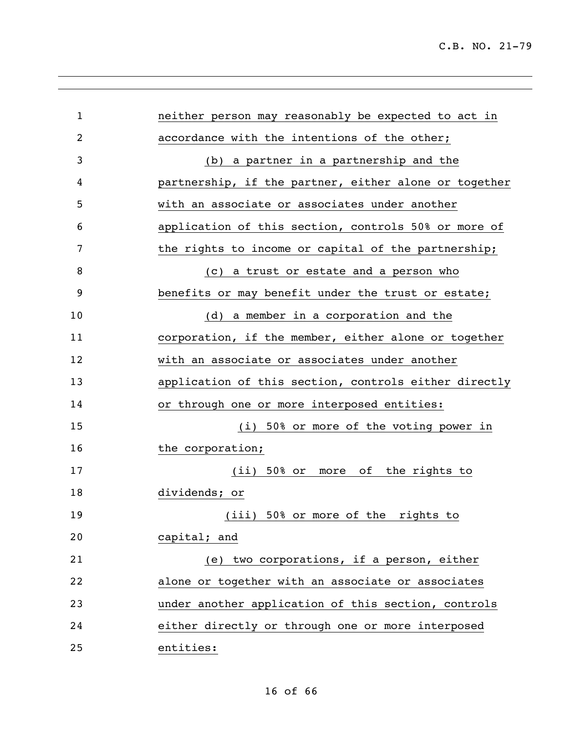| $\mathbf{1}$ | neither person may reasonably be expected to act in   |
|--------------|-------------------------------------------------------|
| 2            | accordance with the intentions of the other;          |
| 3            | (b) a partner in a partnership and the                |
| 4            | partnership, if the partner, either alone or together |
| 5            | with an associate or associates under another         |
| 6            | application of this section, controls 50% or more of  |
| 7            | the rights to income or capital of the partnership;   |
| 8            | (c) a trust or estate and a person who                |
| 9            | benefits or may benefit under the trust or estate;    |
| 10           | (d) a member in a corporation and the                 |
| 11           | corporation, if the member, either alone or together  |
| 12           | with an associate or associates under another         |
| 13           | application of this section, controls either directly |
| 14           | or through one or more interposed entities:           |
| 15           | (i) 50% or more of the voting power in                |
| 16           | the corporation;                                      |
| 17           | (ii) 50% or more of the rights to                     |
| 18           | dividends; or                                         |
| 19           | (iii) 50% or more of the rights to                    |
| 20           | capital; and                                          |
| 21           | (e) two corporations, if a person, either             |
| 22           | alone or together with an associate or associates     |
| 23           | under another application of this section, controls   |
| 24           | either directly or through one or more interposed     |
| 25           | entities:                                             |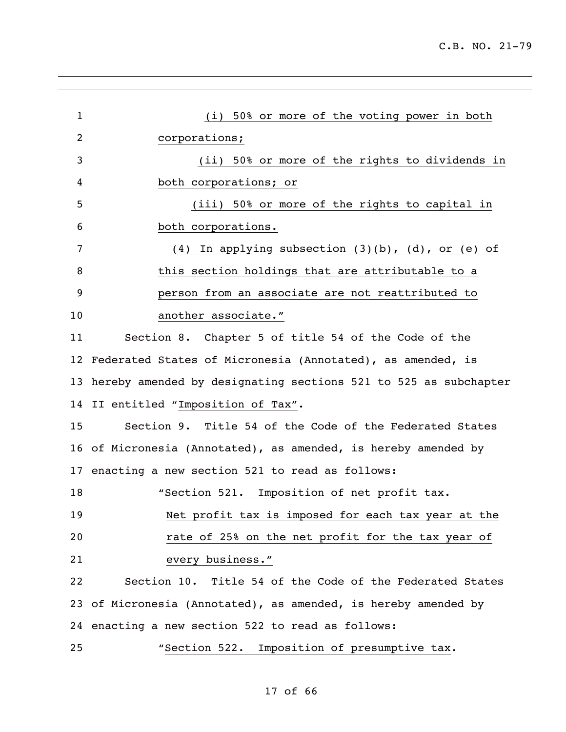| $\mathbf{1}$    | (i) 50% or more of the voting power in both                        |  |
|-----------------|--------------------------------------------------------------------|--|
| $\overline{2}$  | corporations;                                                      |  |
| 3               | (ii) 50% or more of the rights to dividends in                     |  |
| 4               | both corporations; or                                              |  |
| 5               | (iii) 50% or more of the rights to capital in                      |  |
| 6               | both corporations.                                                 |  |
| 7               | (4) In applying subsection $(3)(b)$ , $(d)$ , or $(e)$ of          |  |
| 8               | this section holdings that are attributable to a                   |  |
| 9               | person from an associate are not reattributed to                   |  |
| 10              | another associate."                                                |  |
| 11              | Section 8. Chapter 5 of title 54 of the Code of the                |  |
|                 | 12 Federated States of Micronesia (Annotated), as amended, is      |  |
|                 | 13 hereby amended by designating sections 521 to 525 as subchapter |  |
|                 | 14 II entitled "Imposition of Tax".                                |  |
| 15              | Section 9. Title 54 of the Code of the Federated States            |  |
|                 | 16 of Micronesia (Annotated), as amended, is hereby amended by     |  |
| 17 <sub>2</sub> | enacting a new section 521 to read as follows:                     |  |
| 18              | "Section 521. Imposition of net profit tax.                        |  |
| 19              | Net profit tax is imposed for each tax year at the                 |  |
| 20              | rate of 25% on the net profit for the tax year of                  |  |
| 21              | every business."                                                   |  |
| 22              | Section 10. Title 54 of the Code of the Federated States           |  |
|                 | 23 of Micronesia (Annotated), as amended, is hereby amended by     |  |
|                 | 24 enacting a new section 522 to read as follows:                  |  |
| 25              | "Section 522. Imposition of presumptive tax.                       |  |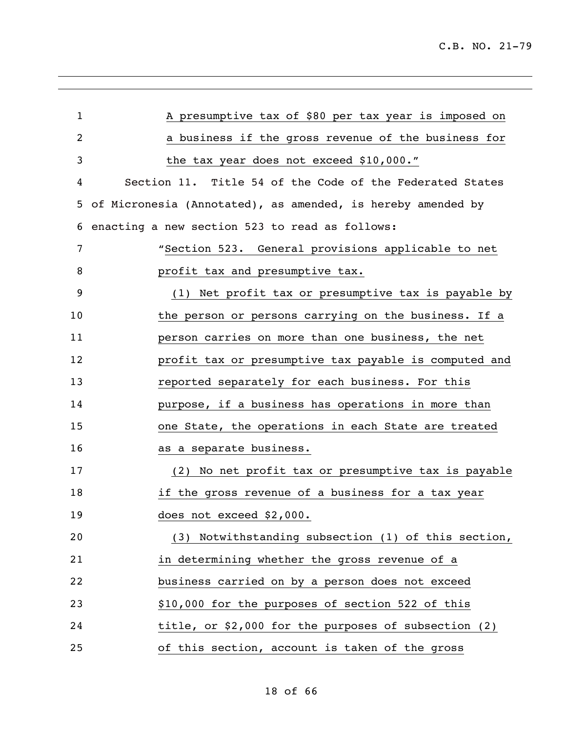| $\mathbf{1}$ | A presumptive tax of \$80 per tax year is imposed on        |
|--------------|-------------------------------------------------------------|
| 2            | a business if the gross revenue of the business for         |
| 3            | the tax year does not exceed \$10,000."                     |
| 4            | Section 11. Title 54 of the Code of the Federated States    |
| 5            | of Micronesia (Annotated), as amended, is hereby amended by |
| 6            | enacting a new section 523 to read as follows:              |
| 7            | "Section 523. General provisions applicable to net          |
| 8            | profit tax and presumptive tax.                             |
| 9            | (1) Net profit tax or presumptive tax is payable by         |
| 10           | the person or persons carrying on the business. If a        |
| 11           | person carries on more than one business, the net           |
| 12           | profit tax or presumptive tax payable is computed and       |
| 13           | reported separately for each business. For this             |
| 14           | purpose, if a business has operations in more than          |
| 15           | one State, the operations in each State are treated         |
| 16           | as a separate business.                                     |
| 17           | (2) No net profit tax or presumptive tax is payable         |
| 18           | if the gross revenue of a business for a tax year           |
| 19           | does not exceed \$2,000.                                    |
| 20           | (3) Notwithstanding subsection (1) of this section,         |
| 21           | in determining whether the gross revenue of a               |
| 22           | business carried on by a person does not exceed             |
| 23           | \$10,000 for the purposes of section 522 of this            |
| 24           | title, or \$2,000 for the purposes of subsection (2)        |
| 25           | of this section, account is taken of the gross              |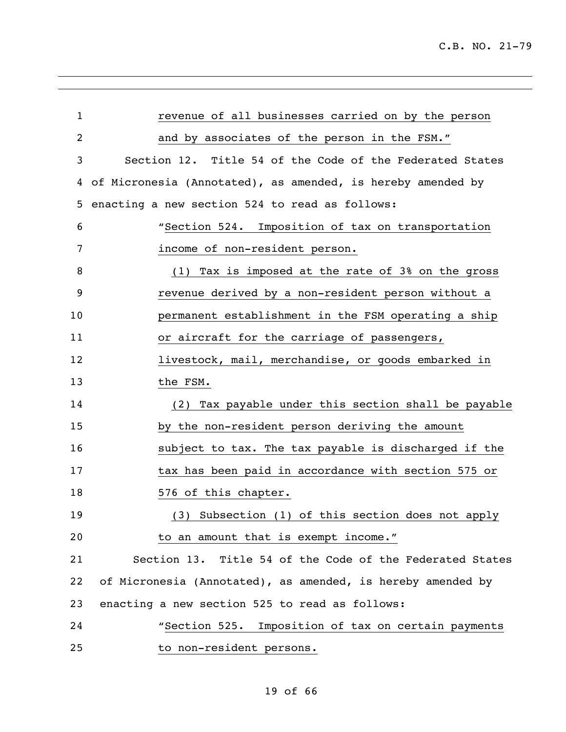| $\mathbf{1}$   | revenue of all businesses carried on by the person          |
|----------------|-------------------------------------------------------------|
| $\overline{2}$ | and by associates of the person in the FSM."                |
| 3              | Section 12. Title 54 of the Code of the Federated States    |
| 4              | of Micronesia (Annotated), as amended, is hereby amended by |
| 5              | enacting a new section 524 to read as follows:              |
| 6              | "Section 524. Imposition of tax on transportation           |
| 7              | income of non-resident person.                              |
| 8              | (1) Tax is imposed at the rate of 3% on the gross           |
| 9              | revenue derived by a non-resident person without a          |
| 10             | permanent establishment in the FSM operating a ship         |
| 11             | or aircraft for the carriage of passengers,                 |
| 12             | livestock, mail, merchandise, or goods embarked in          |
| 13             | the FSM.                                                    |
| 14             | (2) Tax payable under this section shall be payable         |
| 15             | by the non-resident person deriving the amount              |
| 16             | subject to tax. The tax payable is discharged if the        |
| 17             | tax has been paid in accordance with section 575 or         |
| 18             | 576 of this chapter.                                        |
| 19             | (3) Subsection (1) of this section does not apply           |
| 20             | to an amount that is exempt income."                        |
| 21             | Section 13. Title 54 of the Code of the Federated States    |
| 22             | of Micronesia (Annotated), as amended, is hereby amended by |
| 23             | enacting a new section 525 to read as follows:              |
| 24             | "Section 525. Imposition of tax on certain payments         |
| 25             | to non-resident persons.                                    |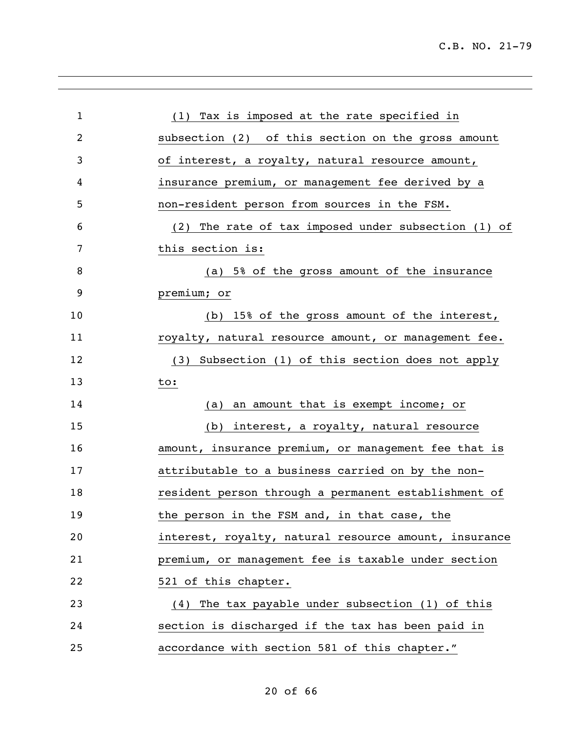| $\mathbf{1}$ | (1) Tax is imposed at the rate specified in           |
|--------------|-------------------------------------------------------|
| 2            | subsection (2) of this section on the gross amount    |
| 3            | of interest, a royalty, natural resource amount,      |
| 4            | insurance premium, or management fee derived by a     |
| 5            | non-resident person from sources in the FSM.          |
| 6            | (2) The rate of tax imposed under subsection (1) of   |
| 7            | this section is:                                      |
| 8            | (a) 5% of the gross amount of the insurance           |
| 9            | premium; or                                           |
| 10           | (b) 15% of the gross amount of the interest,          |
| 11           | royalty, natural resource amount, or management fee.  |
| 12           | (3) Subsection (1) of this section does not apply     |
| 13           | to:                                                   |
| 14           | an amount that is exempt income; or<br>(a)            |
| 15           | (b) interest, a royalty, natural resource             |
| 16           | amount, insurance premium, or management fee that is  |
| 17           | attributable to a business carried on by the non-     |
| 18           | resident person through a permanent establishment of  |
| 19           | the person in the FSM and, in that case, the          |
| 20           | interest, royalty, natural resource amount, insurance |
| 21           | premium, or management fee is taxable under section   |
| 22           | 521 of this chapter.                                  |
| 23           | (4) The tax payable under subsection (1) of this      |
| 24           | section is discharged if the tax has been paid in     |
| 25           | accordance with section 581 of this chapter."         |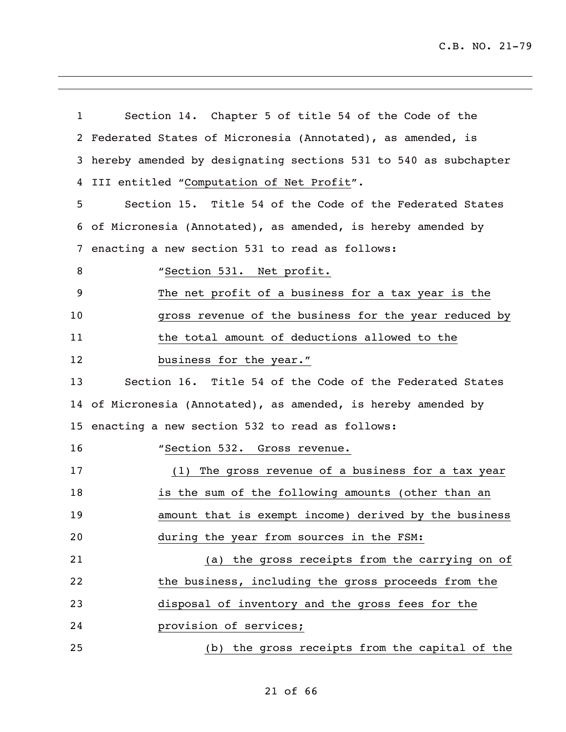C.B. NO. 21-79

| $\mathbf{1}$ | Section 14. Chapter 5 of title 54 of the Code of the            |
|--------------|-----------------------------------------------------------------|
| 2            | Federated States of Micronesia (Annotated), as amended, is      |
| 3            | hereby amended by designating sections 531 to 540 as subchapter |
| 4            | III entitled "Computation of Net Profit".                       |
| 5            | Section 15. Title 54 of the Code of the Federated States        |
| 6            | of Micronesia (Annotated), as amended, is hereby amended by     |
| 7            | enacting a new section 531 to read as follows:                  |
| 8            | "Section 531. Net profit.                                       |
| 9            | The net profit of a business for a tax year is the              |
| 10           | gross revenue of the business for the year reduced by           |
| 11           | the total amount of deductions allowed to the                   |
| 12           | business for the year."                                         |
| 13           | Section 16. Title 54 of the Code of the Federated States        |
|              | 14 of Micronesia (Annotated), as amended, is hereby amended by  |
|              | 15 enacting a new section 532 to read as follows:               |
| 16           | "Section 532. Gross revenue.                                    |
| 17           | (1) The gross revenue of a business for a tax year              |
| 18           | is the sum of the following amounts (other than an              |
| 19           | amount that is exempt income) derived by the business           |
| 20           | during the year from sources in the FSM:                        |
| 21           | (a) the gross receipts from the carrying on of                  |
| 22           | the business, including the gross proceeds from the             |
| 23           | disposal of inventory and the gross fees for the                |
| 24           | provision of services;                                          |
| 25           | (b) the gross receipts from the capital of the                  |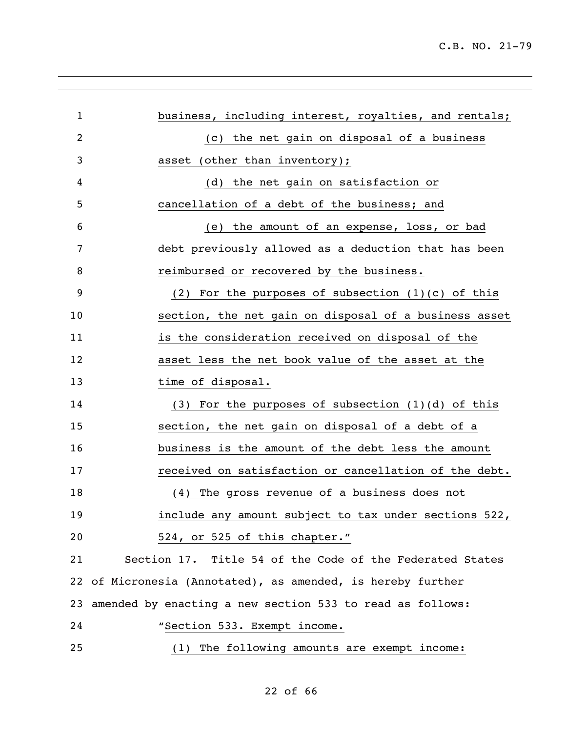| $\mathbf{1}$   | business, including interest, royalties, and rentals;       |
|----------------|-------------------------------------------------------------|
| $\overline{2}$ | (c) the net gain on disposal of a business                  |
| 3              | asset (other than inventory);                               |
| 4              | the net gain on satisfaction or<br>(d)                      |
| 5              | cancellation of a debt of the business; and                 |
| 6              | the amount of an expense, loss, or bad<br>(e)               |
| 7              | debt previously allowed as a deduction that has been        |
| 8              | reimbursed or recovered by the business.                    |
| 9              | (2) For the purposes of subsection $(1)(c)$ of this         |
| 10             | section, the net gain on disposal of a business asset       |
| 11             | is the consideration received on disposal of the            |
| 12             | asset less the net book value of the asset at the           |
| 13             | time of disposal.                                           |
| 14             | $(3)$ For the purposes of subsection $(1)(d)$ of this       |
| 15             | section, the net gain on disposal of a debt of a            |
| 16             | business is the amount of the debt less the amount          |
| 17             | received on satisfaction or cancellation of the debt.       |
| 18             | The gross revenue of a business does not<br>(4)             |
| 19             | include any amount subject to tax under sections 522,       |
| 20             | 524, or 525 of this chapter."                               |
| 21             | Section 17. Title 54 of the Code of the Federated States    |
|                | 22 of Micronesia (Annotated), as amended, is hereby further |
| 23             | amended by enacting a new section 533 to read as follows:   |
| 24             | "Section 533. Exempt income.                                |
| 25             | (1) The following amounts are exempt income:                |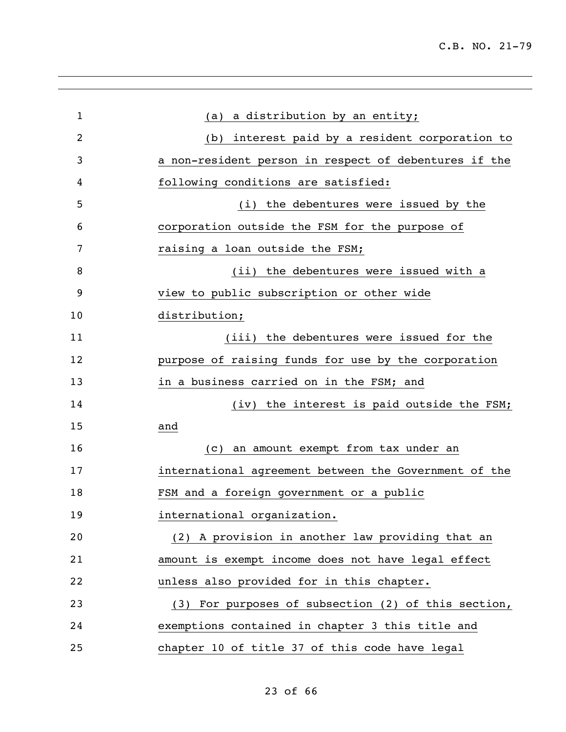| $\mathbf{1}$ | (a) a distribution by an entity;                      |
|--------------|-------------------------------------------------------|
| 2            | interest paid by a resident corporation to<br>(b)     |
| 3            | a non-resident person in respect of debentures if the |
| 4            | following conditions are satisfied:                   |
| 5            | (i) the debentures were issued by the                 |
| 6            | corporation outside the FSM for the purpose of        |
| 7            | raising a loan outside the FSM;                       |
| 8            | (ii) the debentures were issued with a                |
| 9            | view to public subscription or other wide             |
| 10           | distribution;                                         |
| 11           | (iii) the debentures were issued for the              |
| 12           | purpose of raising funds for use by the corporation   |
| 13           | in a business carried on in the FSM; and              |
| 14           | (iv) the interest is paid outside the FSM;            |
| 15           | and                                                   |
| 16           | an amount exempt from tax under an<br>(C)             |
| 17           | international agreement between the Government of the |
| 18           | FSM and a foreign government or a public              |
| 19           | international organization.                           |
| 20           | (2) A provision in another law providing that an      |
| 21           | amount is exempt income does not have legal effect    |
| 22           | unless also provided for in this chapter.             |
| 23           | (3) For purposes of subsection (2) of this section,   |
| 24           | exemptions contained in chapter 3 this title and      |
| 25           | chapter 10 of title 37 of this code have legal        |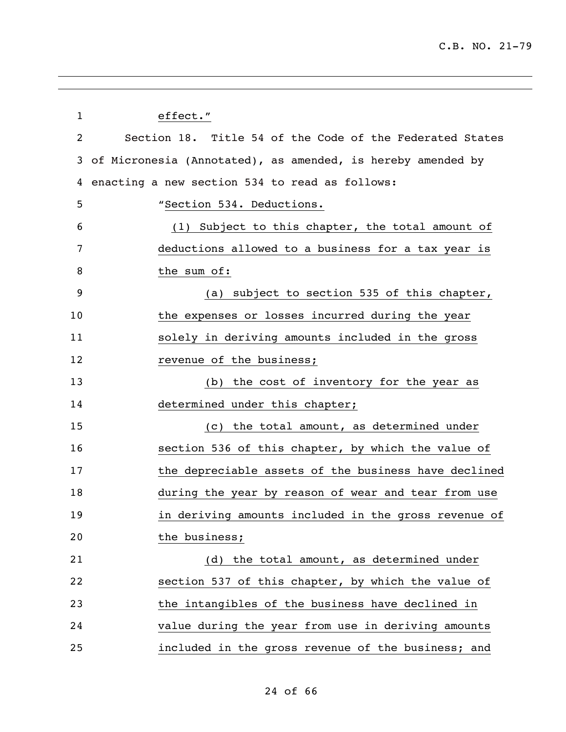| $\mathbf{1}$ | effect."                                                    |
|--------------|-------------------------------------------------------------|
| 2            | Section 18. Title 54 of the Code of the Federated States    |
| 3            | of Micronesia (Annotated), as amended, is hereby amended by |
| 4            | enacting a new section 534 to read as follows:              |
| 5            | "Section 534. Deductions.                                   |
| 6            | (1) Subject to this chapter, the total amount of            |
| 7            | deductions allowed to a business for a tax year is          |
| 8            | the sum of:                                                 |
| 9            | (a) subject to section 535 of this chapter,                 |
| 10           | the expenses or losses incurred during the year             |
| 11           | solely in deriving amounts included in the gross            |
| 12           | revenue of the business;                                    |
| 13           | (b) the cost of inventory for the year as                   |
| 14           | determined under this chapter;                              |
| 15           | (c) the total amount, as determined under                   |
| 16           | section 536 of this chapter, by which the value of          |
| 17           | the depreciable assets of the business have declined        |
| 18           | during the year by reason of wear and tear from use         |
| 19           | in deriving amounts included in the gross revenue of        |
| 20           | the business;                                               |
| 21           | (d) the total amount, as determined under                   |
| 22           | section 537 of this chapter, by which the value of          |
| 23           | the intangibles of the business have declined in            |
| 24           | value during the year from use in deriving amounts          |
| 25           | included in the gross revenue of the business; and          |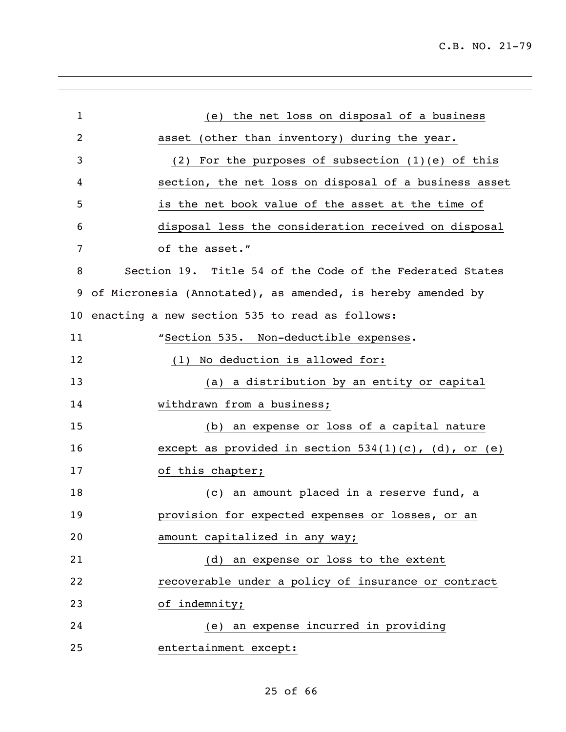| $\mathbf{1}$ | (e) the net loss on disposal of a business                  |
|--------------|-------------------------------------------------------------|
| 2            | asset (other than inventory) during the year.               |
| 3            | (2) For the purposes of subsection $(1)(e)$ of this         |
| 4            | section, the net loss on disposal of a business asset       |
| 5            | is the net book value of the asset at the time of           |
| 6            | disposal less the consideration received on disposal        |
| 7            | of the asset."                                              |
| 8            | Section 19. Title 54 of the Code of the Federated States    |
| 9            | of Micronesia (Annotated), as amended, is hereby amended by |
| 10           | enacting a new section 535 to read as follows:              |
| 11           | "Section 535. Non-deductible expenses.                      |
| 12           | No deduction is allowed for:<br>(1)                         |
| 13           | (a) a distribution by an entity or capital                  |
| 14           | withdrawn from a business;                                  |
| 15           | (b) an expense or loss of a capital nature                  |
| 16           | except as provided in section $534(1)(c)$ , (d), or (e)     |
| 17           | of this chapter;                                            |
| 18           | (c) an amount placed in a reserve fund, a                   |
| 19           | provision for expected expenses or losses, or an            |
| 20           | amount capitalized in any way;                              |
| 21           | (d) an expense or loss to the extent                        |
| 22           | recoverable under a policy of insurance or contract         |
| 23           | of indemnity;                                               |
| 24           | (e) an expense incurred in providing                        |
| 25           | entertainment except:                                       |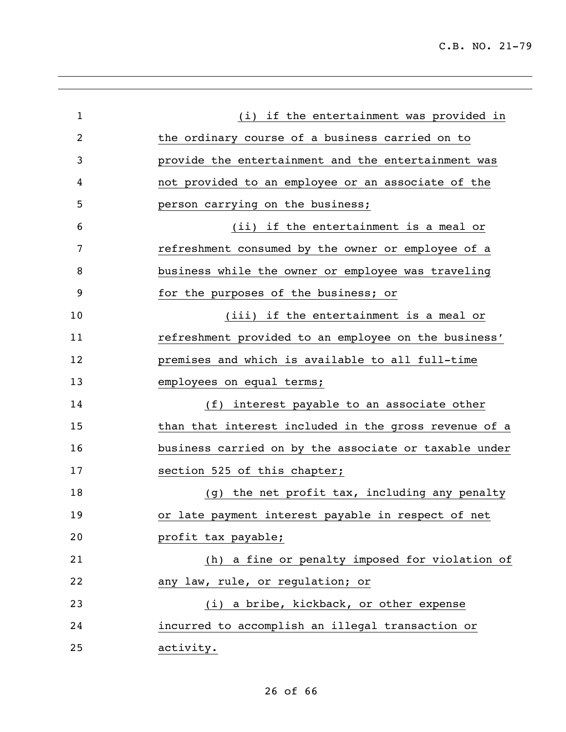| 1              | (i) if the entertainment was provided in              |
|----------------|-------------------------------------------------------|
| $\overline{c}$ | the ordinary course of a business carried on to       |
| 3              | provide the entertainment and the entertainment was   |
| 4              | not provided to an employee or an associate of the    |
| 5              | person carrying on the business;                      |
| 6              | (ii) if the entertainment is a meal or                |
| 7              | refreshment consumed by the owner or employee of a    |
| 8              | business while the owner or employee was traveling    |
| 9              | for the purposes of the business; or                  |
| 10             | (iii) if the entertainment is a meal or               |
| 11             | refreshment provided to an employee on the business'  |
| 12             | premises and which is available to all full-time      |
| 13             | employees on equal terms;                             |
| 14             | interest payable to an associate other<br>(f)         |
| 15             | than that interest included in the gross revenue of a |
| 16             | business carried on by the associate or taxable under |
| 17             | section 525 of this chapter;                          |
| 18             | (g) the net profit tax, including any penalty         |
| 19             | or late payment interest payable in respect of net    |
| 20             | profit tax payable;                                   |
| 21             | (h) a fine or penalty imposed for violation of        |
| 22             | any law, rule, or regulation; or                      |
| 23             | (i) a bribe, kickback, or other expense               |
| 24             | incurred to accomplish an illegal transaction or      |
| 25             | activity.                                             |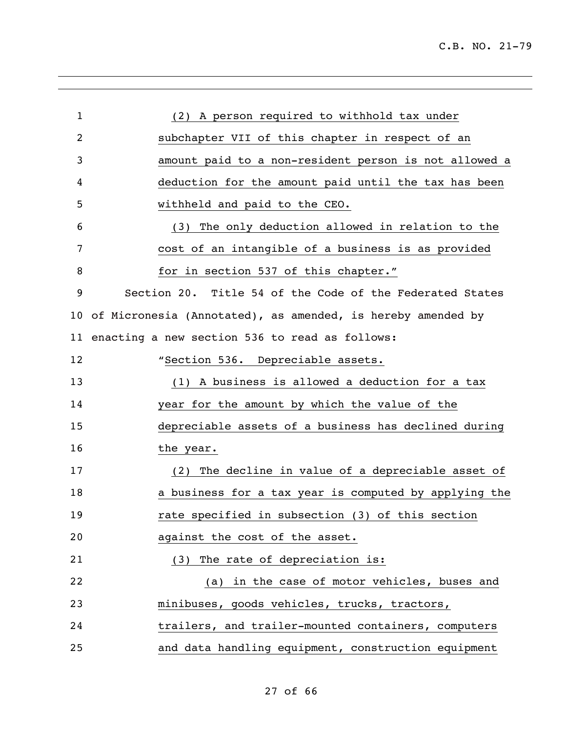| $\mathbf{1}$   | (2) A person required to withhold tax under                 |
|----------------|-------------------------------------------------------------|
|                |                                                             |
| $\overline{2}$ | subchapter VII of this chapter in respect of an             |
| 3              | amount paid to a non-resident person is not allowed a       |
| 4              | deduction for the amount paid until the tax has been        |
| 5              | withheld and paid to the CEO.                               |
| 6              | The only deduction allowed in relation to the<br>(3)        |
| 7              | cost of an intangible of a business is as provided          |
| 8              | for in section 537 of this chapter."                        |
| 9              | Section 20. Title 54 of the Code of the Federated States    |
| 10             | of Micronesia (Annotated), as amended, is hereby amended by |
| 11             | enacting a new section 536 to read as follows:              |
| 12             | "Section 536. Depreciable assets.                           |
| 13             | (1) A business is allowed a deduction for a tax             |
| 14             | year for the amount by which the value of the               |
| 15             | depreciable assets of a business has declined during        |
| 16             | the year.                                                   |
| 17             | (2) The decline in value of a depreciable asset of          |
| 18             | a business for a tax year is computed by applying the       |
| 19             | rate specified in subsection (3) of this section            |
| 20             | against the cost of the asset.                              |
| 21             | (3) The rate of depreciation is:                            |
| 22             | (a) in the case of motor vehicles, buses and                |
| 23             | minibuses, goods vehicles, trucks, tractors,                |
| 24             | trailers, and trailer-mounted containers, computers         |
| 25             | and data handling equipment, construction equipment         |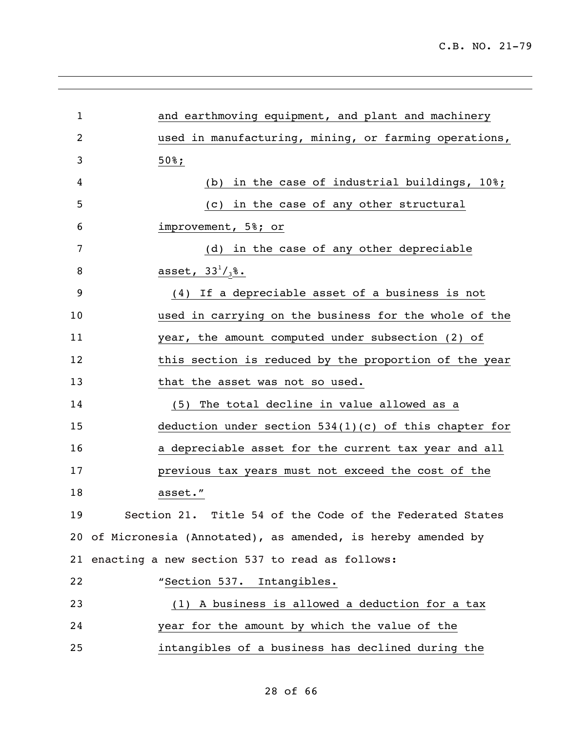| $\mathbf{1}$ | and earthmoving equipment, and plant and machinery             |
|--------------|----------------------------------------------------------------|
| 2            | used in manufacturing, mining, or farming operations,          |
| 3            | $50\$ ;                                                        |
| 4            | (b) in the case of industrial buildings, $10\$ ;               |
| 5            | (c) in the case of any other structural                        |
| 6            | improvement, 5%; or                                            |
| 7            | (d) in the case of any other depreciable                       |
| 8            | asset, $33^{1}/_{3}$ %.                                        |
| 9            | (4) If a depreciable asset of a business is not                |
| 10           | used in carrying on the business for the whole of the          |
| 11           | year, the amount computed under subsection (2) of              |
| 12           | this section is reduced by the proportion of the year          |
| 13           | that the asset was not so used.                                |
| 14           | (5) The total decline in value allowed as a                    |
| 15           | deduction under section $534(1)(c)$ of this chapter for        |
| 16           | a depreciable asset for the current tax year and all           |
| 17           | previous tax years must not exceed the cost of the             |
| 18           | asset."                                                        |
| 19           | Section 21. Title 54 of the Code of the Federated States       |
|              | 20 of Micronesia (Annotated), as amended, is hereby amended by |
|              | 21 enacting a new section 537 to read as follows:              |
| 22           | "Section 537. Intangibles.                                     |
| 23           | (1) A business is allowed a deduction for a tax                |
| 24           | year for the amount by which the value of the                  |
| 25           | intangibles of a business has declined during the              |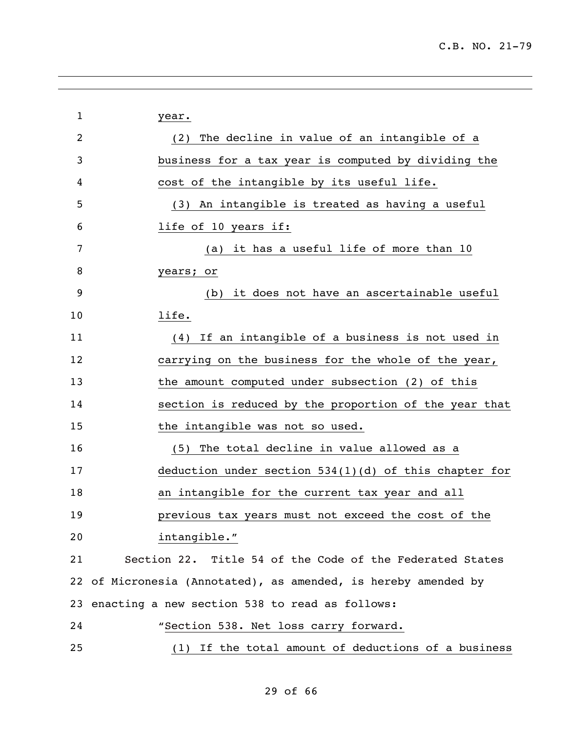| $\mathbf 1$    | year.                                                          |
|----------------|----------------------------------------------------------------|
| $\overline{2}$ | (2) The decline in value of an intangible of a                 |
| 3              | business for a tax year is computed by dividing the            |
| 4              | cost of the intangible by its useful life.                     |
| 5              | An intangible is treated as having a useful<br>(3)             |
| 6              | life of 10 years if:                                           |
| 7              | it has a useful life of more than 10<br>(a)                    |
| 8              | years; or                                                      |
| 9              | it does not have an ascertainable useful<br>(b)                |
| 10             | life.                                                          |
| 11             | (4) If an intangible of a business is not used in              |
| 12             | carrying on the business for the whole of the year,            |
| 13             | the amount computed under subsection (2) of this               |
| 14             | section is reduced by the proportion of the year that          |
| 15             | the intangible was not so used.                                |
| 16             | (5) The total decline in value allowed as a                    |
| 17             | deduction under section $534(1)(d)$ of this chapter for        |
| 18             | an intangible for the current tax year and all                 |
| 19             | previous tax years must not exceed the cost of the             |
| 20             | intangible."                                                   |
| 21             | Section 22. Title 54 of the Code of the Federated States       |
|                | 22 of Micronesia (Annotated), as amended, is hereby amended by |
|                | 23 enacting a new section 538 to read as follows:              |
| 24             | "Section 538. Net loss carry forward.                          |
| 25             | (1) If the total amount of deductions of a business            |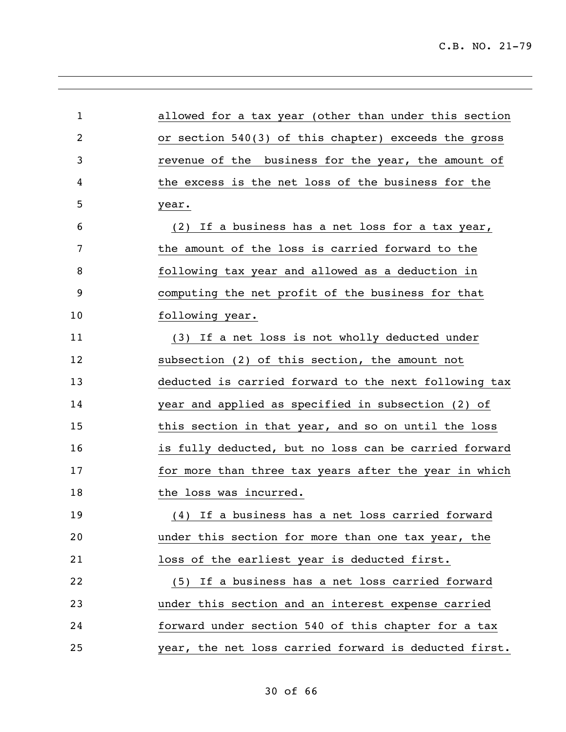| $\mathbf 1$ | allowed for a tax year (other than under this section |
|-------------|-------------------------------------------------------|
| 2           | or section 540(3) of this chapter) exceeds the gross  |
| 3           | revenue of the business for the year, the amount of   |
| 4           | the excess is the net loss of the business for the    |
| 5           | year.                                                 |
| 6           | (2) If a business has a net loss for a tax year,      |
| 7           | the amount of the loss is carried forward to the      |
| 8           | following tax year and allowed as a deduction in      |
| 9           | computing the net profit of the business for that     |
| 10          | following year.                                       |
| 11          | (3) If a net loss is not wholly deducted under        |
| 12          | subsection (2) of this section, the amount not        |
| 13          | deducted is carried forward to the next following tax |
| 14          | year and applied as specified in subsection (2) of    |
| 15          | this section in that year, and so on until the loss   |
| 16          | is fully deducted, but no loss can be carried forward |
| 17          | for more than three tax years after the year in which |
| 18          | the loss was incurred.                                |
| 19          | (4) If a business has a net loss carried forward      |
| 20          | under this section for more than one tax year, the    |
| 21          | loss of the earliest year is deducted first.          |
| 22          | (5) If a business has a net loss carried forward      |
| 23          | under this section and an interest expense carried    |
| 24          | forward under section 540 of this chapter for a tax   |
| 25          | year, the net loss carried forward is deducted first. |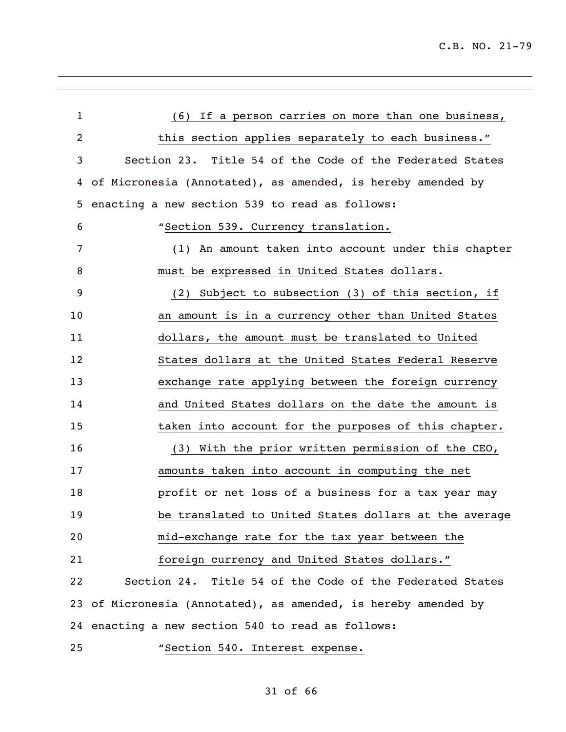| $\mathbf{1}$   | (6) If a person carries on more than one business,          |
|----------------|-------------------------------------------------------------|
| $\overline{2}$ | this section applies separately to each business."          |
| 3              | Section 23. Title 54 of the Code of the Federated States    |
| 4              | of Micronesia (Annotated), as amended, is hereby amended by |
| 5              | enacting a new section 539 to read as follows:              |
| 6              | "Section 539. Currency translation.                         |
| 7              | (1) An amount taken into account under this chapter         |
| 8              | must be expressed in United States dollars.                 |
| 9              | (2) Subject to subsection (3) of this section, if           |
| 10             | an amount is in a currency other than United States         |
| 11             | dollars, the amount must be translated to United            |
| 12             | States dollars at the United States Federal Reserve         |
| 13             | exchange rate applying between the foreign currency         |
| 14             | and United States dollars on the date the amount is         |
| 15             | taken into account for the purposes of this chapter.        |
| 16             | (3) With the prior written permission of the CEO,           |
| 17             | amounts taken into account in computing the net             |
| 18             | profit or net loss of a business for a tax year may         |
| 19             | be translated to United States dollars at the average       |
| 20             | mid-exchange rate for the tax year between the              |
| 21             | foreign currency and United States dollars."                |
| 22             | Section 24. Title 54 of the Code of the Federated States    |
| 23             | of Micronesia (Annotated), as amended, is hereby amended by |
|                | 24 enacting a new section 540 to read as follows:           |
| 25             | "Section 540. Interest expense.                             |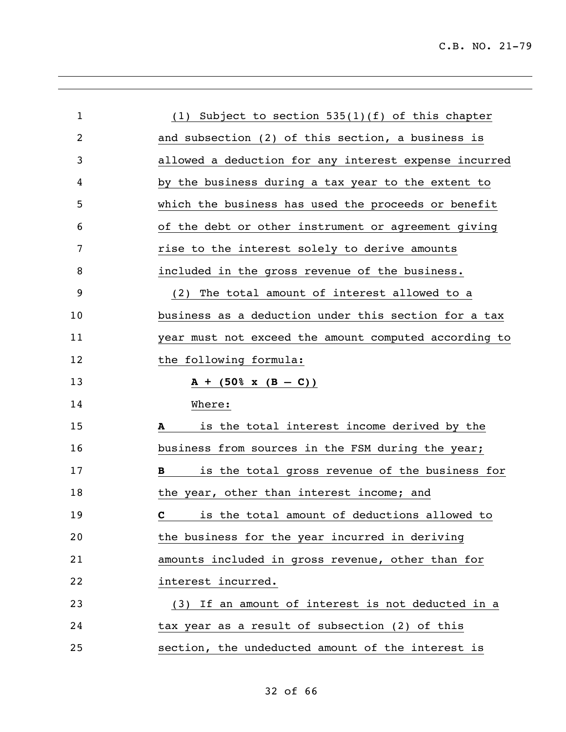| $\mathbf{1}$ | (1) Subject to section $535(1)(f)$ of this chapter    |
|--------------|-------------------------------------------------------|
| 2            | and subsection (2) of this section, a business is     |
| 3            | allowed a deduction for any interest expense incurred |
| 4            | by the business during a tax year to the extent to    |
| 5            | which the business has used the proceeds or benefit   |
| 6            | of the debt or other instrument or agreement giving   |
| 7            | rise to the interest solely to derive amounts         |
| 8            | included in the gross revenue of the business.        |
| 9            | (2) The total amount of interest allowed to a         |
| 10           | business as a deduction under this section for a tax  |
| 11           | year must not exceed the amount computed according to |
| 12           | the following formula:                                |
| 13           | $A + (50\% \times (B - C))$                           |
| 14           | Where:                                                |
| 15           | is the total interest income derived by the<br>A      |
| 16           |                                                       |
|              | business from sources in the FSM during the year;     |
| 17           | is the total gross revenue of the business for<br>B   |
| 18           | the year, other than interest income; and             |
| 19           | <b>C</b> is the total amount of deductions allowed to |
| 20           | the business for the year incurred in deriving        |
| 21           | amounts included in gross revenue, other than for     |
| 22           | interest incurred.                                    |
| 23           | (3) If an amount of interest is not deducted in a     |
| 24           | tax year as a result of subsection (2) of this        |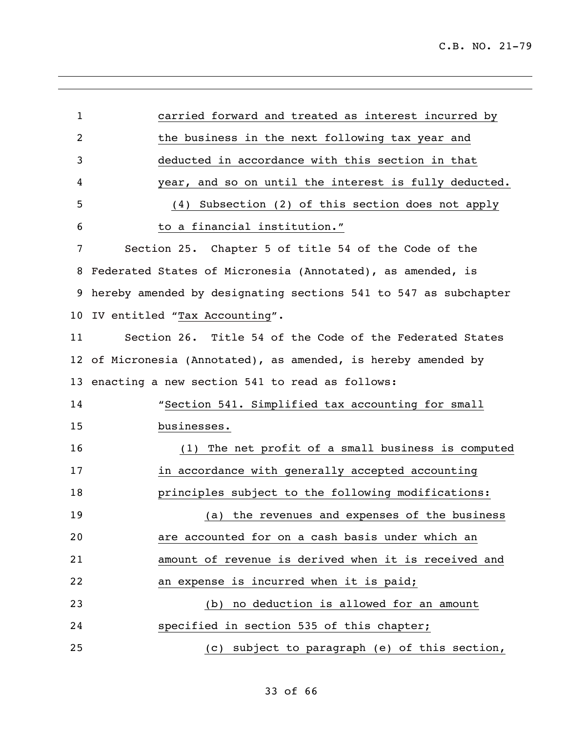| $\mathbf{1}$ | carried forward and treated as interest incurred by             |
|--------------|-----------------------------------------------------------------|
| 2            | the business in the next following tax year and                 |
| 3            | deducted in accordance with this section in that                |
| 4            | year, and so on until the interest is fully deducted.           |
| 5            | Subsection (2) of this section does not apply<br>(4)            |
| 6            | to a financial institution."                                    |
| 7            | Section 25. Chapter 5 of title 54 of the Code of the            |
| 8            | Federated States of Micronesia (Annotated), as amended, is      |
| 9            | hereby amended by designating sections 541 to 547 as subchapter |
| 10           | IV entitled "Tax Accounting".                                   |
| 11           | Section 26. Title 54 of the Code of the Federated States        |
| 12           | of Micronesia (Annotated), as amended, is hereby amended by     |
| 13           | enacting a new section 541 to read as follows:                  |
| 14           | "Section 541. Simplified tax accounting for small               |
| 15           | businesses.                                                     |
| 16           | (1) The net profit of a small business is computed              |
| 17           | in accordance with generally accepted accounting                |
| 18           | principles subject to the following modifications:              |
| 19           | (a) the revenues and expenses of the business                   |
| 20           | are accounted for on a cash basis under which an                |
| 21           | amount of revenue is derived when it is received and            |
| 22           | an expense is incurred when it is paid;                         |
| 23           | (b) no deduction is allowed for an amount                       |
| 24           | specified in section 535 of this chapter;                       |
| 25           | subject to paragraph (e) of this section,<br>(c)                |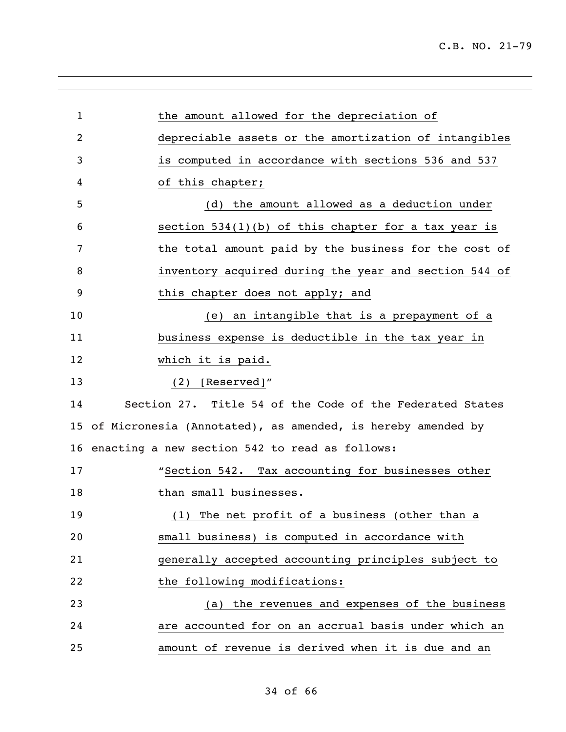| $\mathbf 1$     | the amount allowed for the depreciation of                  |
|-----------------|-------------------------------------------------------------|
| 2               | depreciable assets or the amortization of intangibles       |
| 3               | is computed in accordance with sections 536 and 537         |
| 4               | of this chapter;                                            |
| 5               | (d) the amount allowed as a deduction under                 |
| 6               | section $534(1)(b)$ of this chapter for a tax year is       |
| 7               | the total amount paid by the business for the cost of       |
| 8               | inventory acquired during the year and section 544 of       |
| 9               | this chapter does not apply; and                            |
| 10              | (e) an intangible that is a prepayment of a                 |
| 11              | business expense is deductible in the tax year in           |
| 12              | which it is paid.                                           |
| 13              | [Reserved]"<br>(2)                                          |
| 14              | Section 27. Title 54 of the Code of the Federated States    |
| 15 <sub>2</sub> | of Micronesia (Annotated), as amended, is hereby amended by |
|                 | 16 enacting a new section 542 to read as follows:           |
| 17              | "Section 542. Tax accounting for businesses other           |
| 18              | than small businesses.                                      |
| 19              | (1) The net profit of a business (other than a              |
| 20              | small business) is computed in accordance with              |
| 21              | generally accepted accounting principles subject to         |
| 22              | the following modifications:                                |
| 23              | (a) the revenues and expenses of the business               |
| 24              | are accounted for on an accrual basis under which an        |
| 25              | amount of revenue is derived when it is due and an          |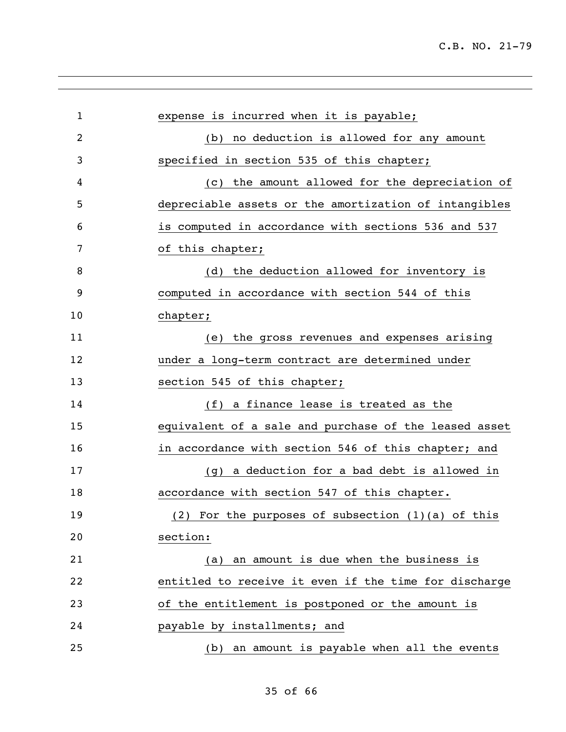| $\mathbf{1}$ | expense is incurred when it is payable;               |
|--------------|-------------------------------------------------------|
| 2            | no deduction is allowed for any amount<br>(b)         |
| 3            | specified in section 535 of this chapter;             |
| 4            | the amount allowed for the depreciation of<br>(C)     |
| 5            | depreciable assets or the amortization of intangibles |
| 6            | is computed in accordance with sections 536 and 537   |
| 7            | of this chapter;                                      |
| 8            | (d) the deduction allowed for inventory is            |
| 9            | computed in accordance with section 544 of this       |
| 10           | chapter;                                              |
| 11           | the gross revenues and expenses arising<br>(e)        |
| 12           | under a long-term contract are determined under       |
| 13           | section 545 of this chapter;                          |
| 14           | (f) a finance lease is treated as the                 |
| 15           | equivalent of a sale and purchase of the leased asset |
| 16           | in accordance with section 546 of this chapter; and   |
| 17           | a deduction for a bad debt is allowed in<br>(g)       |
| 18           | accordance with section 547 of this chapter.          |
| 19           | (2) For the purposes of subsection $(1)(a)$ of this   |
| 20           | section:                                              |
| 21           | (a) an amount is due when the business is             |
| 22           | entitled to receive it even if the time for discharge |
| 23           | of the entitlement is postponed or the amount is      |
| 24           | payable by installments; and                          |
| 25           | (b) an amount is payable when all the events          |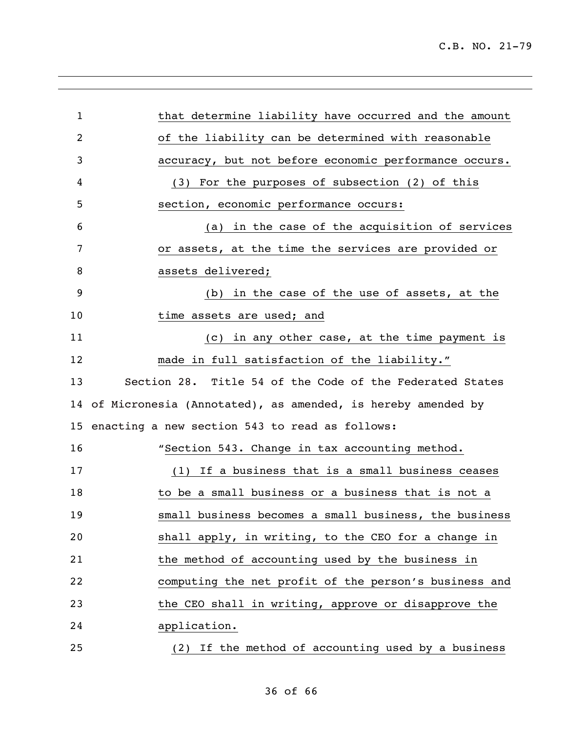| $\mathbf{1}$ | that determine liability have occurred and the amount       |
|--------------|-------------------------------------------------------------|
| 2            | of the liability can be determined with reasonable          |
| 3            | accuracy, but not before economic performance occurs.       |
| 4            | (3) For the purposes of subsection (2) of this              |
| 5            | section, economic performance occurs:                       |
| 6            | (a) in the case of the acquisition of services              |
| 7            | or assets, at the time the services are provided or         |
| 8            | assets delivered;                                           |
| 9            | (b) in the case of the use of assets, at the                |
| 10           | time assets are used; and                                   |
| 11           | (c) in any other case, at the time payment is               |
| 12           | made in full satisfaction of the liability."                |
| 13           | Section 28. Title 54 of the Code of the Federated States    |
| 14           | of Micronesia (Annotated), as amended, is hereby amended by |
| 15           | enacting a new section 543 to read as follows:              |
| 16           | "Section 543. Change in tax accounting method.              |
| 17           | (1) If a business that is a small business ceases           |
| 18           | to be a small business or a business that is not a          |
| 19           | small business becomes a small business, the business       |
| 20           | shall apply, in writing, to the CEO for a change in         |
| 21           | the method of accounting used by the business in            |
| 22           | computing the net profit of the person's business and       |
| 23           | the CEO shall in writing, approve or disapprove the         |
| 24           | application.                                                |
| 25           | (2) If the method of accounting used by a business          |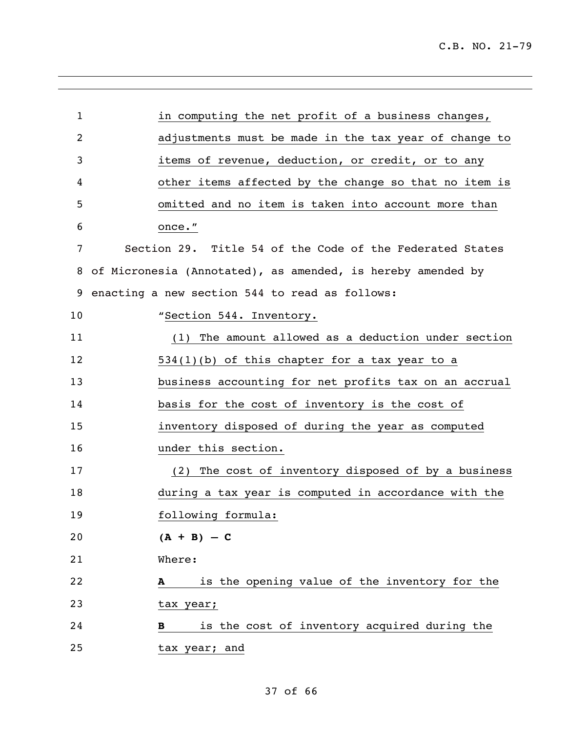| 1              | in computing the net profit of a business changes,          |
|----------------|-------------------------------------------------------------|
| $\overline{2}$ | adjustments must be made in the tax year of change to       |
| 3              | items of revenue, deduction, or credit, or to any           |
| 4              | other items affected by the change so that no item is       |
| 5              | omitted and no item is taken into account more than         |
| 6              | once."                                                      |
| 7              | Section 29. Title 54 of the Code of the Federated States    |
| 8              | of Micronesia (Annotated), as amended, is hereby amended by |
| 9              | enacting a new section 544 to read as follows:              |
| 10             | "Section 544. Inventory.                                    |
| 11             | The amount allowed as a deduction under section<br>(1)      |
| 12             | $534(1)(b)$ of this chapter for a tax year to a             |
| 13             | business accounting for net profits tax on an accrual       |
| 14             | basis for the cost of inventory is the cost of              |
| 15             | inventory disposed of during the year as computed           |
| 16             | under this section.                                         |
| 17             | (2) The cost of inventory disposed of by a business         |
| 18             | during a tax year is computed in accordance with the        |
| 19             | following formula:                                          |
| 20             | $(A + B) - C$                                               |
| 21             | Where:                                                      |
| 22             | is the opening value of the inventory for the<br>A          |
| 23             | tax year;                                                   |
| 24             | is the cost of inventory acquired during the<br>в           |
| 25             | tax year; and                                               |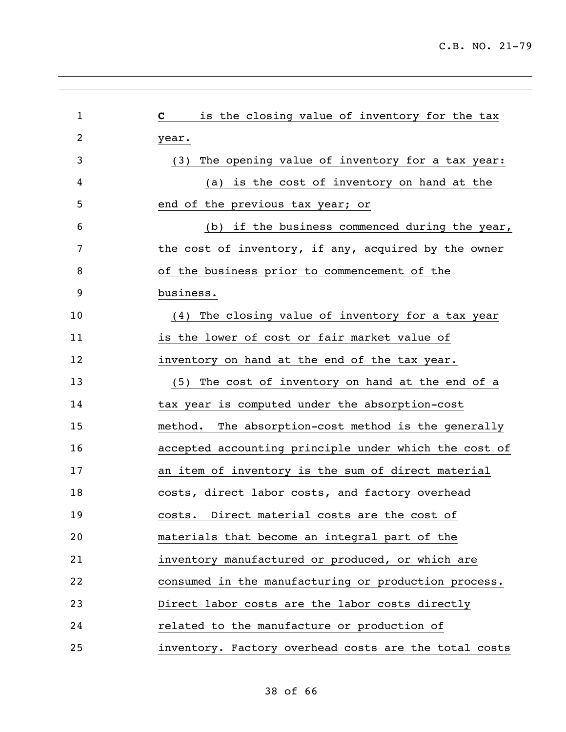| 1  | is the closing value of inventory for the tax<br>$\mathbf{c}$ |
|----|---------------------------------------------------------------|
| 2  | year.                                                         |
| 3  | The opening value of inventory for a tax year:<br>(3)         |
| 4  | (a) is the cost of inventory on hand at the                   |
| 5  | end of the previous tax year; or                              |
| 6  | (b) if the business commenced during the year,                |
| 7  | the cost of inventory, if any, acquired by the owner          |
| 8  | of the business prior to commencement of the                  |
| 9  | business.                                                     |
| 10 | (4) The closing value of inventory for a tax year             |
| 11 | is the lower of cost or fair market value of                  |
| 12 | inventory on hand at the end of the tax year.                 |
| 13 | The cost of inventory on hand at the end of a<br>(5)          |
| 14 | tax year is computed under the absorption-cost                |
| 15 | The absorption-cost method is the generally<br>method.        |
| 16 | accepted accounting principle under which the cost of         |
| 17 | an item of inventory is the sum of direct material            |
| 18 | costs, direct labor costs, and factory overhead               |
| 19 | costs. Direct material costs are the cost of                  |
| 20 | materials that become an integral part of the                 |
| 21 | inventory manufactured or produced, or which are              |
| 22 | consumed in the manufacturing or production process.          |
| 23 | Direct labor costs are the labor costs directly               |
| 24 | related to the manufacture or production of                   |
| 25 | inventory. Factory overhead costs are the total costs         |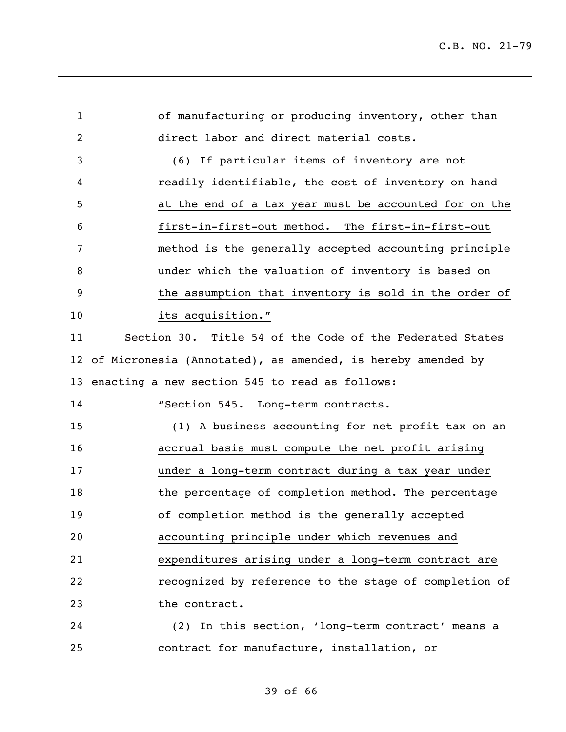| $\mathbf 1$ | of manufacturing or producing inventory, other than         |
|-------------|-------------------------------------------------------------|
| 2           | direct labor and direct material costs.                     |
| 3           | (6) If particular items of inventory are not                |
| 4           | readily identifiable, the cost of inventory on hand         |
| 5           | at the end of a tax year must be accounted for on the       |
| 6           | first-in-first-out method. The first-in-first-out           |
| 7           | method is the generally accepted accounting principle       |
| 8           | under which the valuation of inventory is based on          |
| 9           | the assumption that inventory is sold in the order of       |
| 10          | its acquisition."                                           |
| 11          | Section 30. Title 54 of the Code of the Federated States    |
| 12          | of Micronesia (Annotated), as amended, is hereby amended by |
| 13          | enacting a new section 545 to read as follows:              |
| 14          | "Section 545. Long-term contracts.                          |
| 15          | (1) A business accounting for net profit tax on an          |
| 16          | accrual basis must compute the net profit arising           |
| 17          | under a long-term contract during a tax year under          |
| 18          | the percentage of completion method. The percentage         |
| 19          | of completion method is the generally accepted              |
| 20          | accounting principle under which revenues and               |
| 21          | expenditures arising under a long-term contract are         |
| 22          | recognized by reference to the stage of completion of       |
| 23          | the contract.                                               |
| 24          | (2) In this section, 'long-term contract' means a           |
| 25          | contract for manufacture, installation, or                  |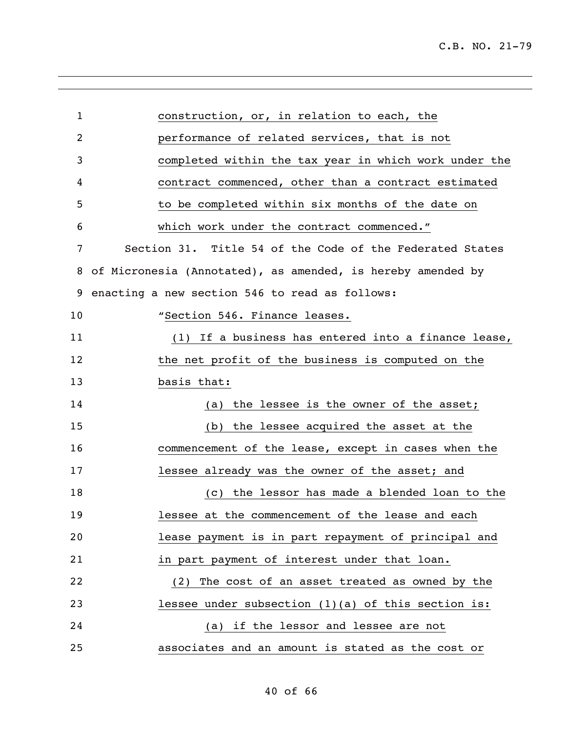| $\mathbf{1}$ | construction, or, in relation to each, the                  |
|--------------|-------------------------------------------------------------|
| 2            | performance of related services, that is not                |
| 3            | completed within the tax year in which work under the       |
| 4            | contract commenced, other than a contract estimated         |
| 5            | to be completed within six months of the date on            |
| 6            | which work under the contract commenced."                   |
| 7            | Section 31. Title 54 of the Code of the Federated States    |
| 8            | of Micronesia (Annotated), as amended, is hereby amended by |
| 9            | enacting a new section 546 to read as follows:              |
| 10           | "Section 546. Finance leases.                               |
| 11           | (1) If a business has entered into a finance lease,         |
| 12           | the net profit of the business is computed on the           |
| 13           | basis that:                                                 |
| 14           | the lessee is the owner of the asset;<br>(a)                |
| 15           | the lessee acquired the asset at the<br>(b)                 |
| 16           | commencement of the lease, except in cases when the         |
| 17           | lessee already was the owner of the asset; and              |
| 18           | the lessor has made a blended loan to the<br>(C)            |
| 19           | lessee at the commencement of the lease and each            |
| 20           | lease payment is in part repayment of principal and         |
| 21           | in part payment of interest under that loan.                |
| 22           | (2) The cost of an asset treated as owned by the            |
| 23           | lessee under subsection $(1)(a)$ of this section is:        |
| 24           | (a) if the lessor and lessee are not                        |
| 25           | associates and an amount is stated as the cost or           |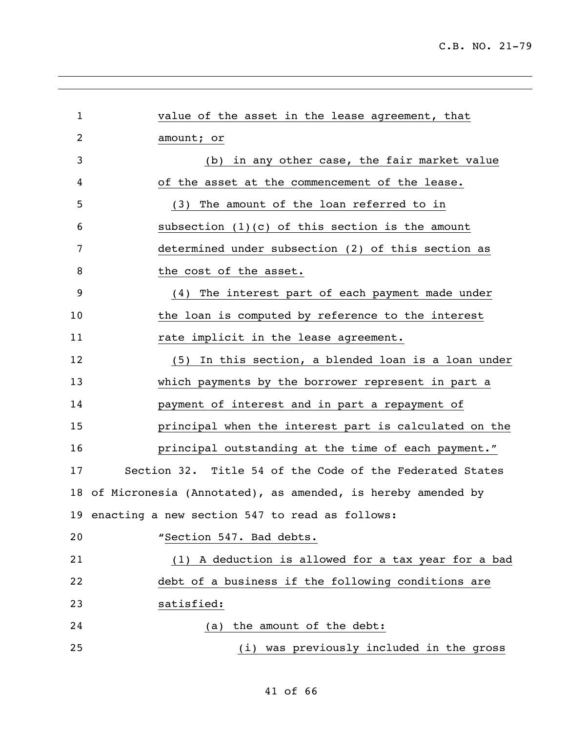| $\mathbf 1$ | value of the asset in the lease agreement, that             |
|-------------|-------------------------------------------------------------|
| 2           | amount; or                                                  |
| 3           | (b) in any other case, the fair market value                |
| 4           | of the asset at the commencement of the lease.              |
| 5           | The amount of the loan referred to in<br>(3)                |
| 6           | subsection $(1)(c)$ of this section is the amount           |
| 7           | determined under subsection (2) of this section as          |
| 8           | the cost of the asset.                                      |
| 9           | (4) The interest part of each payment made under            |
| 10          | the loan is computed by reference to the interest           |
| 11          | rate implicit in the lease agreement.                       |
| 12          | (5) In this section, a blended loan is a loan under         |
| 13          | which payments by the borrower represent in part a          |
| 14          | payment of interest and in part a repayment of              |
| 15          | principal when the interest part is calculated on the       |
| 16          | principal outstanding at the time of each payment."         |
| 17          | Section 32. Title 54 of the Code of the Federated States    |
| 18          | of Micronesia (Annotated), as amended, is hereby amended by |
|             | 19 enacting a new section 547 to read as follows:           |
| 20          | "Section 547. Bad debts.                                    |
| 21          | (1) A deduction is allowed for a tax year for a bad         |
| 22          | debt of a business if the following conditions are          |
| 23          | satisfied:                                                  |
| 24          | the amount of the debt:<br>(a)                              |
| 25          | (i) was previously included in the gross                    |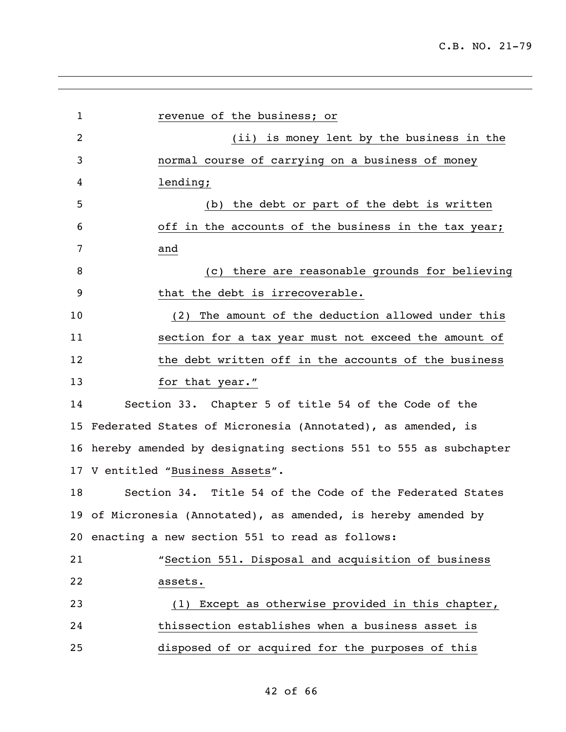| 1  | revenue of the business; or                                     |
|----|-----------------------------------------------------------------|
| 2  | (ii) is money lent by the business in the                       |
| 3  | normal course of carrying on a business of money                |
| 4  | lending;                                                        |
| 5  | (b) the debt or part of the debt is written                     |
| 6  | off in the accounts of the business in the tax year;            |
| 7  | and                                                             |
| 8  | (c) there are reasonable grounds for believing                  |
| 9  | that the debt is irrecoverable.                                 |
| 10 | The amount of the deduction allowed under this<br>(2)           |
| 11 | section for a tax year must not exceed the amount of            |
| 12 | the debt written off in the accounts of the business            |
| 13 | for that year."                                                 |
| 14 | Section 33. Chapter 5 of title 54 of the Code of the            |
| 15 | Federated States of Micronesia (Annotated), as amended, is      |
| 16 | hereby amended by designating sections 551 to 555 as subchapter |
|    | 17 V entitled "Business Assets".                                |
| 18 | Section 34. Title 54 of the Code of the Federated States        |
|    | 19 of Micronesia (Annotated), as amended, is hereby amended by  |
|    | 20 enacting a new section 551 to read as follows:               |
| 21 | "Section 551. Disposal and acquisition of business              |
| 22 | assets.                                                         |
| 23 | (1) Except as otherwise provided in this chapter,               |
| 24 | thissection establishes when a business asset is                |
| 25 | disposed of or acquired for the purposes of this                |
|    |                                                                 |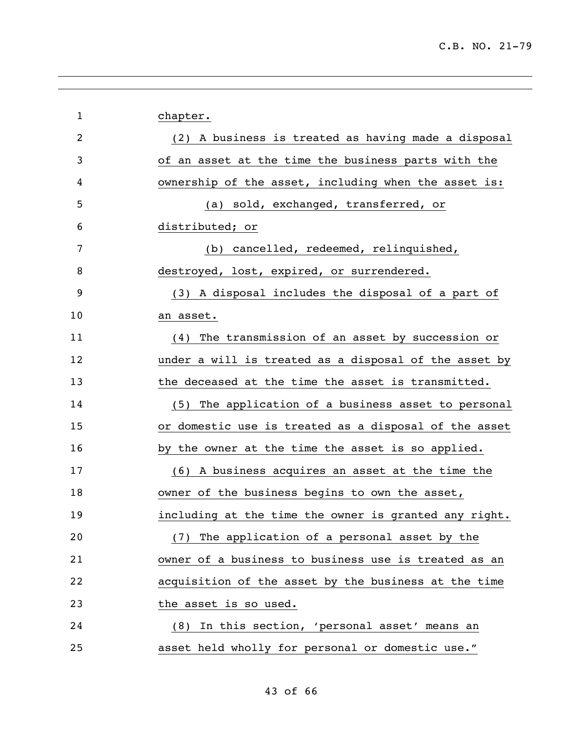| $\mathbf 1$ | chapter.                                              |
|-------------|-------------------------------------------------------|
| 2           | (2) A business is treated as having made a disposal   |
| 3           | of an asset at the time the business parts with the   |
| 4           | ownership of the asset, including when the asset is:  |
| 5           | (a) sold, exchanged, transferred, or                  |
| 6           | distributed; or                                       |
| 7           | (b) cancelled, redeemed, relinquished,                |
| 8           | destroyed, lost, expired, or surrendered.             |
| 9           | (3) A disposal includes the disposal of a part of     |
| 10          | an asset.                                             |
| 11          | The transmission of an asset by succession or<br>(4)  |
| 12          | under a will is treated as a disposal of the asset by |
| 13          | the deceased at the time the asset is transmitted.    |
| 14          | (5) The application of a business asset to personal   |
| 15          | or domestic use is treated as a disposal of the asset |
| 16          | by the owner at the time the asset is so applied.     |
| 17          | (6) A business acquires an asset at the time the      |
| 18          | owner of the business begins to own the asset,        |
| 19          | including at the time the owner is granted any right. |
| 20          | (7) The application of a personal asset by the        |
| 21          | owner of a business to business use is treated as an  |
| 22          | acquisition of the asset by the business at the time  |
| 23          | the asset is so used.                                 |
| 24          | (8) In this section, 'personal asset' means an        |
| 25          | asset held wholly for personal or domestic use."      |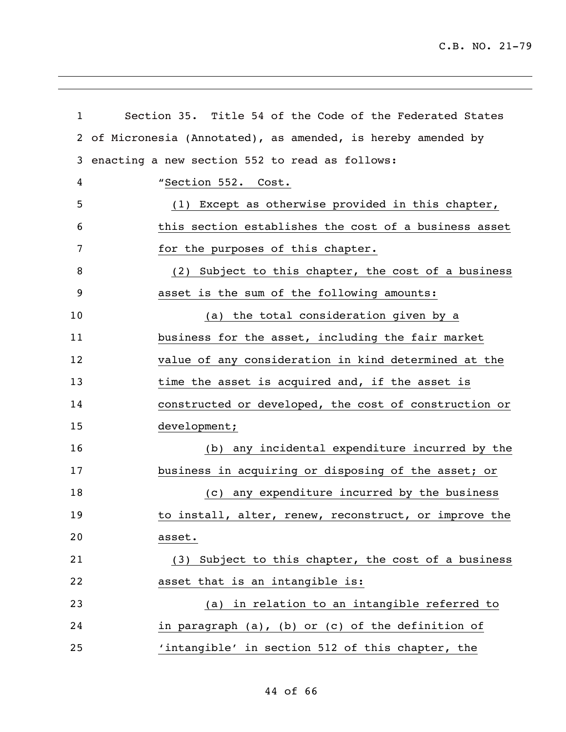C.B. NO. 21-79

| $\mathbf{1}$ | Section 35. Title 54 of the Code of the Federated States    |
|--------------|-------------------------------------------------------------|
| 2            | of Micronesia (Annotated), as amended, is hereby amended by |
| 3            | enacting a new section 552 to read as follows:              |
| 4            | "Section 552. Cost.                                         |
| 5            | (1) Except as otherwise provided in this chapter,           |
| 6            | this section establishes the cost of a business asset       |
| 7            | for the purposes of this chapter.                           |
| 8            | (2) Subject to this chapter, the cost of a business         |
| 9            | asset is the sum of the following amounts:                  |
| 10           | (a) the total consideration given by a                      |
| 11           | business for the asset, including the fair market           |
| 12           | value of any consideration in kind determined at the        |
| 13           | time the asset is acquired and, if the asset is             |
| 14           | constructed or developed, the cost of construction or       |
| 15           | development;                                                |
| 16           | (b) any incidental expenditure incurred by the              |
| 17           | business in acquiring or disposing of the asset; or         |
| 18           | any expenditure incurred by the business<br>(C)             |
| 19           | to install, alter, renew, reconstruct, or improve the       |
| 20           | asset.                                                      |
| 21           | (3) Subject to this chapter, the cost of a business         |
| 22           | asset that is an intangible is:                             |
| 23           | (a) in relation to an intangible referred to                |
| 24           | in paragraph (a), (b) or (c) of the definition of           |
| 25           | 'intangible' in section 512 of this chapter, the            |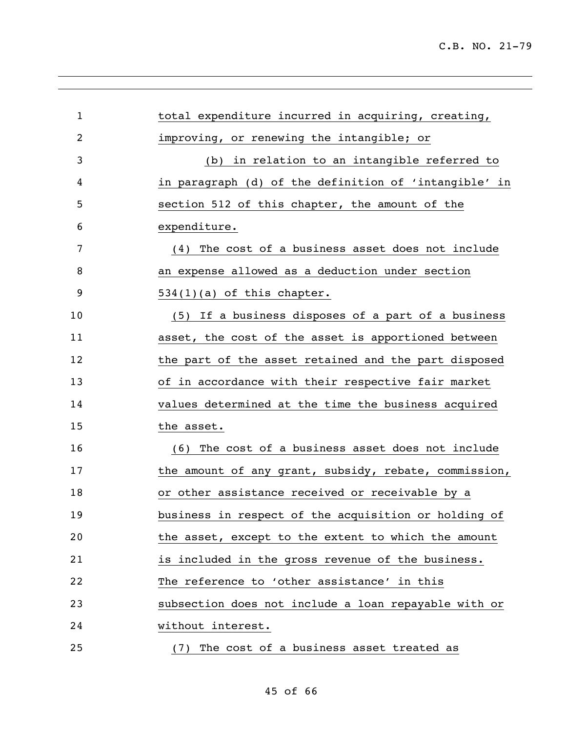| $\mathbf{1}$   | total expenditure incurred in acquiring, creating,    |
|----------------|-------------------------------------------------------|
| $\overline{c}$ | improving, or renewing the intangible; or             |
| 3              | (b) in relation to an intangible referred to          |
| 4              | in paragraph (d) of the definition of 'intangible' in |
| 5              | section 512 of this chapter, the amount of the        |
| 6              | expenditure.                                          |
| 7              | (4) The cost of a business asset does not include     |
| 8              | an expense allowed as a deduction under section       |
| 9              | $534(1)(a)$ of this chapter.                          |
| 10             | (5) If a business disposes of a part of a business    |
| 11             | asset, the cost of the asset is apportioned between   |
| 12             | the part of the asset retained and the part disposed  |
| 13             | of in accordance with their respective fair market    |
| 14             | values determined at the time the business acquired   |
| 15             | the asset.                                            |
| 16             | (6) The cost of a business asset does not include     |
| 17             | the amount of any grant, subsidy, rebate, commission, |
| 18             | or other assistance received or receivable by a       |
| 19             | business in respect of the acquisition or holding of  |
| 20             | the asset, except to the extent to which the amount   |
| 21             | is included in the gross revenue of the business.     |
| 22             | The reference to 'other assistance' in this           |
| 23             | subsection does not include a loan repayable with or  |
| 24             | without interest.                                     |
| 25             | (7) The cost of a business asset treated as           |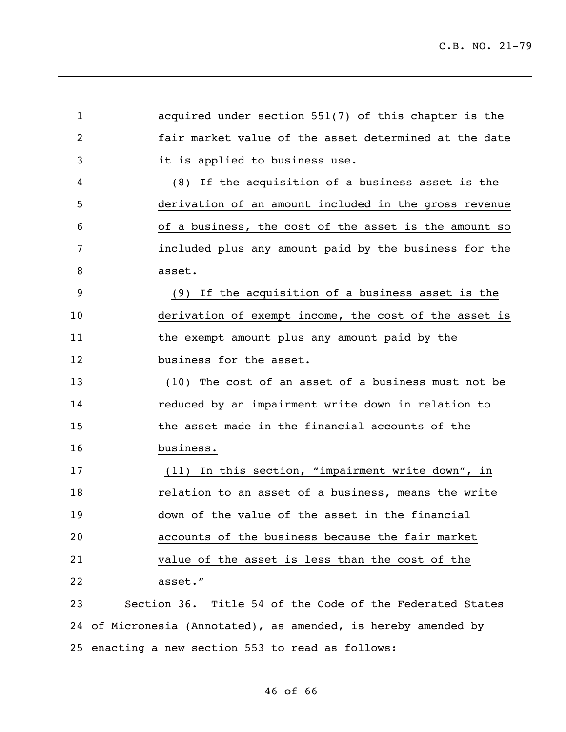| $\mathbf{1}$ | acquired under section 551(7) of this chapter is the           |
|--------------|----------------------------------------------------------------|
| 2            | fair market value of the asset determined at the date          |
| 3            | it is applied to business use.                                 |
| 4            | (8) If the acquisition of a business asset is the              |
| 5            | derivation of an amount included in the gross revenue          |
| 6            | of a business, the cost of the asset is the amount so          |
| 7            | included plus any amount paid by the business for the          |
| 8            | asset.                                                         |
| 9            | (9) If the acquisition of a business asset is the              |
| 10           | derivation of exempt income, the cost of the asset is          |
| 11           | the exempt amount plus any amount paid by the                  |
| 12           | business for the asset.                                        |
| 13           | (10) The cost of an asset of a business must not be            |
| 14           | reduced by an impairment write down in relation to             |
| 15           | the asset made in the financial accounts of the                |
| 16           | business.                                                      |
| 17           | (11) In this section, "impairment write down", in              |
| 18           | relation to an asset of a business, means the write            |
| 19           | down of the value of the asset in the financial                |
| 20           | accounts of the business because the fair market               |
| 21           | value of the asset is less than the cost of the                |
| 22           | asset."                                                        |
| 23           | Section 36. Title 54 of the Code of the Federated States       |
|              | 24 of Micronesia (Annotated), as amended, is hereby amended by |

enacting a new section 553 to read as follows:

of 66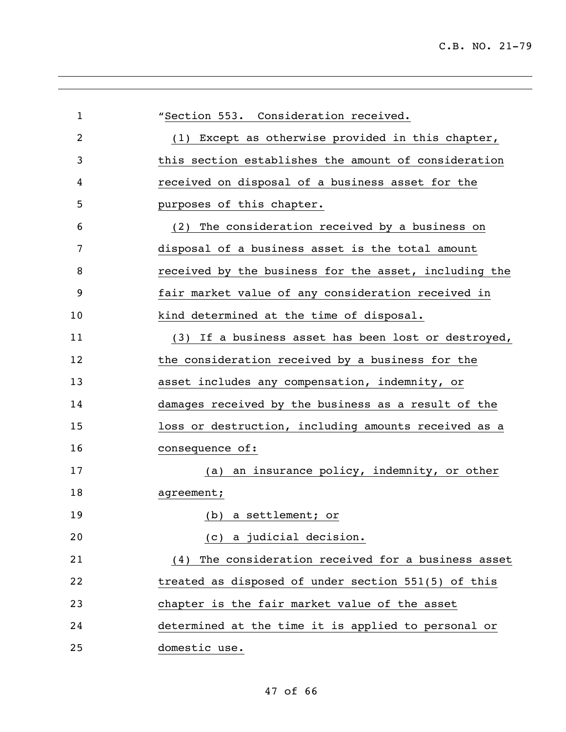| $\mathbf 1$ | "Section 553. Consideration received.                  |
|-------------|--------------------------------------------------------|
| 2           | (1) Except as otherwise provided in this chapter,      |
| 3           | this section establishes the amount of consideration   |
| 4           | received on disposal of a business asset for the       |
| 5           | purposes of this chapter.                              |
| 6           | (2) The consideration received by a business on        |
| 7           | disposal of a business asset is the total amount       |
| 8           | received by the business for the asset, including the  |
| 9           | fair market value of any consideration received in     |
| 10          | kind determined at the time of disposal.               |
| 11          | (3) If a business asset has been lost or destroyed,    |
| 12          | the consideration received by a business for the       |
| 13          | asset includes any compensation, indemnity, or         |
| 14          | damages received by the business as a result of the    |
| 15          | loss or destruction, including amounts received as a   |
| 16          | consequence of:                                        |
| 17          | (a) an insurance policy, indemnity, or other           |
| 18          | agreement;                                             |
| 19          | (b) a settlement; or                                   |
| 20          | (c) a judicial decision.                               |
| 21          | The consideration received for a business asset<br>(4) |
| 22          | treated as disposed of under section 551(5) of this    |
| 23          | chapter is the fair market value of the asset          |
| 24          | determined at the time it is applied to personal or    |
| 25          | domestic use.                                          |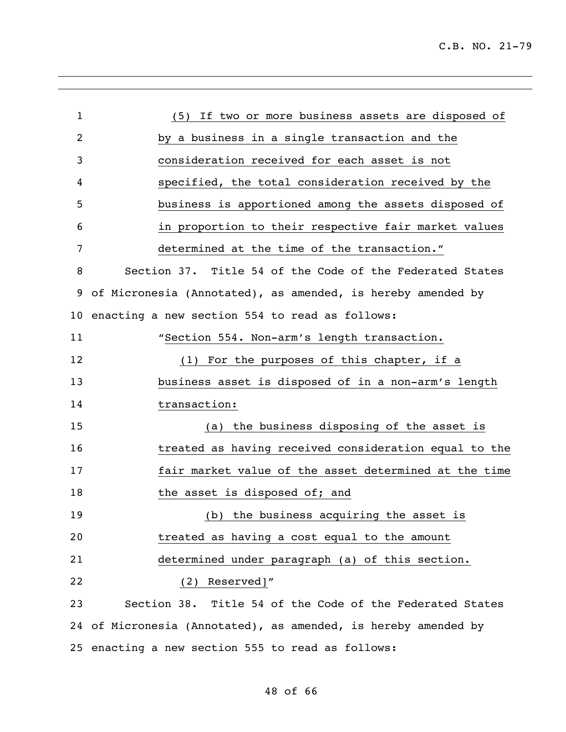| $\mathbf{1}$    | (5) If two or more business assets are disposed of             |
|-----------------|----------------------------------------------------------------|
| $\overline{2}$  | by a business in a single transaction and the                  |
| 3               | consideration received for each asset is not                   |
| 4               | specified, the total consideration received by the             |
| 5               | business is apportioned among the assets disposed of           |
| 6               | in proportion to their respective fair market values           |
| 7               | determined at the time of the transaction."                    |
| 8               | Section 37. Title 54 of the Code of the Federated States       |
| 9               | of Micronesia (Annotated), as amended, is hereby amended by    |
| 10 <sub>1</sub> | enacting a new section 554 to read as follows:                 |
| 11              | "Section 554. Non-arm's length transaction.                    |
| 12              | (1) For the purposes of this chapter, if a                     |
| 13              | business asset is disposed of in a non-arm's length            |
| 14              | transaction:                                                   |
| 15              | (a) the business disposing of the asset is                     |
| 16              | treated as having received consideration equal to the          |
| 17              | fair market value of the asset determined at the time          |
| 18              | the asset is disposed of; and                                  |
| 19              | (b) the business acquiring the asset is                        |
| 20              | treated as having a cost equal to the amount                   |
| 21              | determined under paragraph (a) of this section.                |
| 22              | (2) Reserved]"                                                 |
| 23              | Section 38. Title 54 of the Code of the Federated States       |
|                 | 24 of Micronesia (Annotated), as amended, is hereby amended by |

enacting a new section 555 to read as follows:

## of 66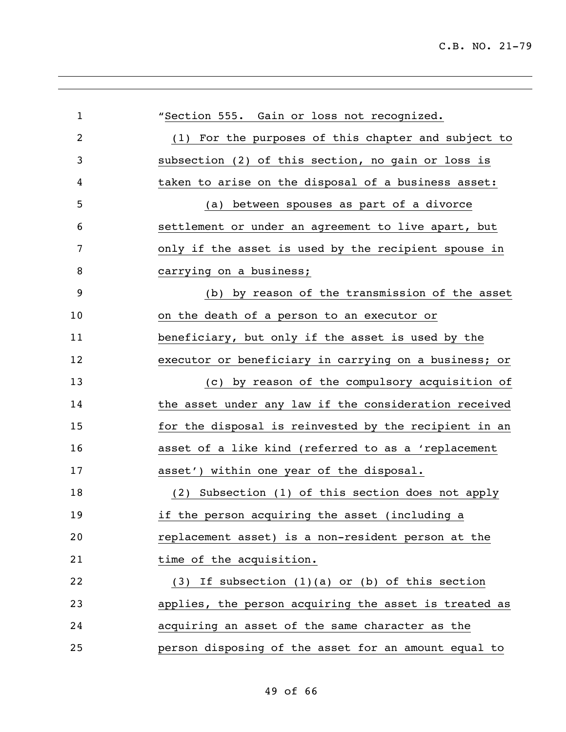| $\mathbf{1}$   | "Section 555. Gain or loss not recognized.            |
|----------------|-------------------------------------------------------|
| $\overline{2}$ | (1) For the purposes of this chapter and subject to   |
| 3              | subsection (2) of this section, no gain or loss is    |
| 4              | taken to arise on the disposal of a business asset:   |
| 5              | between spouses as part of a divorce<br>(a)           |
| 6              | settlement or under an agreement to live apart, but   |
| 7              | only if the asset is used by the recipient spouse in  |
| 8              | carrying on a business;                               |
| 9              | (b) by reason of the transmission of the asset        |
| 10             | on the death of a person to an executor or            |
| 11             | beneficiary, but only if the asset is used by the     |
| 12             | executor or beneficiary in carrying on a business; or |
| 13             | (c) by reason of the compulsory acquisition of        |
| 14             | the asset under any law if the consideration received |
| 15             | for the disposal is reinvested by the recipient in an |
| 16             | asset of a like kind (referred to as a 'replacement   |
| 17             | asset') within one year of the disposal.              |
| 18             | (2) Subsection (1) of this section does not apply     |
| 19             | if the person acquiring the asset (including a        |
| 20             | replacement asset) is a non-resident person at the    |
| 21             | time of the acquisition.                              |
| 22             | $(3)$ If subsection $(1)(a)$ or $(b)$ of this section |
| 23             | applies, the person acquiring the asset is treated as |
| 24             | acquiring an asset of the same character as the       |
| 25             | person disposing of the asset for an amount equal to  |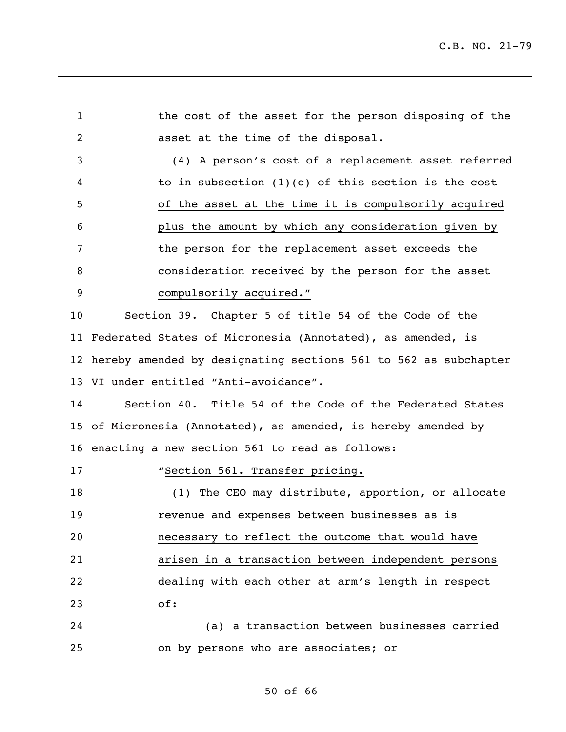| 1              | the cost of the asset for the person disposing of the           |
|----------------|-----------------------------------------------------------------|
| $\overline{2}$ | asset at the time of the disposal.                              |
| 3              | (4) A person's cost of a replacement asset referred             |
| 4              | to in subsection $(1)(c)$ of this section is the cost           |
| 5              | of the asset at the time it is compulsorily acquired            |
| 6              | plus the amount by which any consideration given by             |
| 7              | the person for the replacement asset exceeds the                |
| 8              | consideration received by the person for the asset              |
| 9              | compulsorily acquired."                                         |
| 10             | Section 39. Chapter 5 of title 54 of the Code of the            |
| 11             | Federated States of Micronesia (Annotated), as amended, is      |
| 12             | hereby amended by designating sections 561 to 562 as subchapter |
|                | 13 VI under entitled "Anti-avoidance".                          |
| 14             | Section 40. Title 54 of the Code of the Federated States        |
|                | 15 of Micronesia (Annotated), as amended, is hereby amended by  |
|                | 16 enacting a new section 561 to read as follows:               |
| 17             | "Section 561. Transfer pricing.                                 |
| 18             | The CEO may distribute, apportion, or allocate<br>(1)           |
| 19             | revenue and expenses between businesses as is                   |
| 20             | necessary to reflect the outcome that would have                |
| 21             | arisen in a transaction between independent persons             |
| 22             | dealing with each other at arm's length in respect              |
| 23             | of:                                                             |
| 24             | (a) a transaction between businesses carried                    |
| 25             | on by persons who are associates; or                            |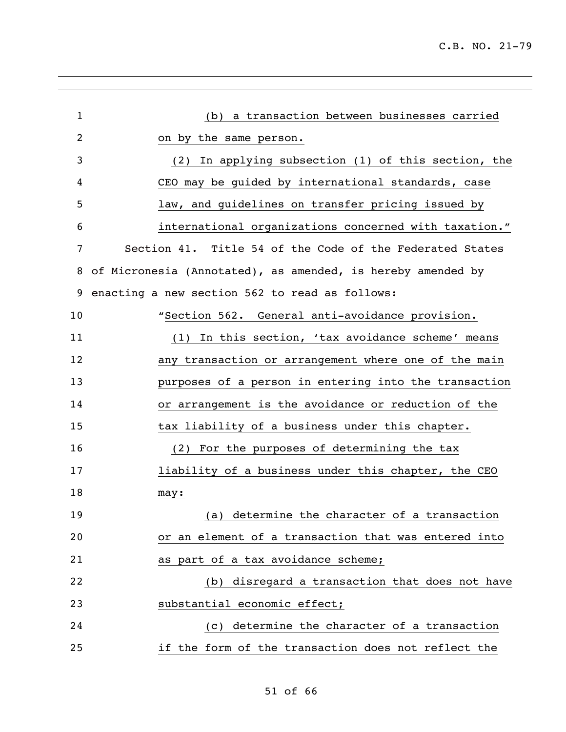| $\mathbf{1}$ | (b) a transaction between businesses carried                |
|--------------|-------------------------------------------------------------|
| 2            | on by the same person.                                      |
| 3            | (2) In applying subsection (1) of this section, the         |
| 4            | CEO may be guided by international standards, case          |
| 5            | law, and guidelines on transfer pricing issued by           |
| 6            | international organizations concerned with taxation."       |
| 7            | Section 41. Title 54 of the Code of the Federated States    |
| 8            | of Micronesia (Annotated), as amended, is hereby amended by |
| 9            | enacting a new section 562 to read as follows:              |
| 10           | "Section 562. General anti-avoidance provision.             |
| 11           | (1) In this section, 'tax avoidance scheme' means           |
| 12           | any transaction or arrangement where one of the main        |
| 13           | purposes of a person in entering into the transaction       |
| 14           | or arrangement is the avoidance or reduction of the         |
| 15           | tax liability of a business under this chapter.             |
| 16           | (2) For the purposes of determining the tax                 |
| 17           | liability of a business under this chapter, the CEO         |
| 18           | may:                                                        |
| 19           | (a) determine the character of a transaction                |
| 20           | or an element of a transaction that was entered into        |
| 21           | as part of a tax avoidance scheme;                          |
| 22           | (b) disregard a transaction that does not have              |
| 23           | substantial economic effect;                                |
| 24           | (c) determine the character of a transaction                |
| 25           | if the form of the transaction does not reflect the         |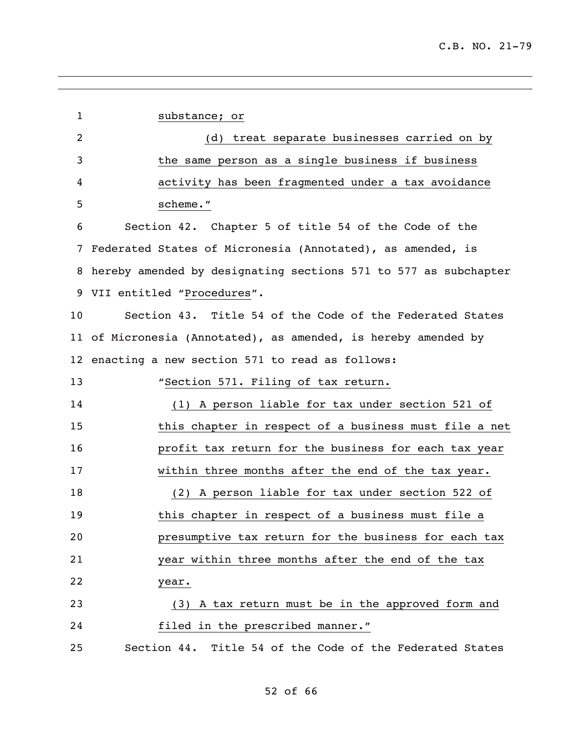| $\mathbf{1}$   | substance; or                                                   |
|----------------|-----------------------------------------------------------------|
| $\overline{2}$ | (d) treat separate businesses carried on by                     |
| 3              | the same person as a single business if business                |
| 4              | activity has been fragmented under a tax avoidance              |
| 5              | scheme."                                                        |
| 6              | Section 42. Chapter 5 of title 54 of the Code of the            |
| 7              | Federated States of Micronesia (Annotated), as amended, is      |
| 8              | hereby amended by designating sections 571 to 577 as subchapter |
| 9              | VII entitled "Procedures".                                      |
| 10             | Section 43. Title 54 of the Code of the Federated States        |
|                | 11 of Micronesia (Annotated), as amended, is hereby amended by  |
|                | 12 enacting a new section 571 to read as follows:               |
| 13             | "Section 571. Filing of tax return.                             |
| 14             | (1) A person liable for tax under section 521 of                |
| 15             | this chapter in respect of a business must file a net           |
| 16             | profit tax return for the business for each tax year            |
| 17             | within three months after the end of the tax year.              |
| 18             | (2) A person liable for tax under section 522 of                |
| 19             | this chapter in respect of a business must file a               |
| 20             | presumptive tax return for the business for each tax            |
| 21             | year within three months after the end of the tax               |
| 22             | year.                                                           |
| 23             | (3) A tax return must be in the approved form and               |
| 24             | filed in the prescribed manner."                                |
| 25             | Section 44. Title 54 of the Code of the Federated States        |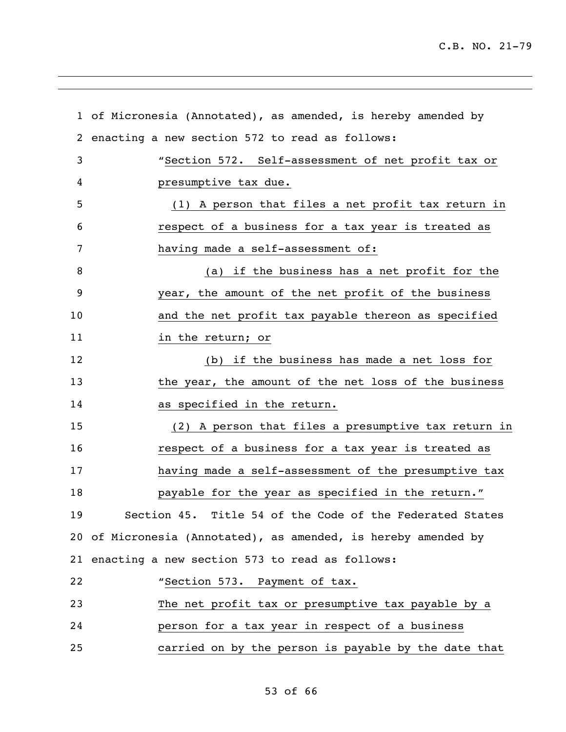|                | 1 of Micronesia (Annotated), as amended, is hereby amended by  |
|----------------|----------------------------------------------------------------|
| $\overline{2}$ | enacting a new section 572 to read as follows:                 |
| 3              | "Section 572. Self-assessment of net profit tax or             |
| 4              | presumptive tax due.                                           |
| 5              | (1) A person that files a net profit tax return in             |
| 6              | respect of a business for a tax year is treated as             |
| 7              | having made a self-assessment of:                              |
| 8              | (a) if the business has a net profit for the                   |
| 9              | year, the amount of the net profit of the business             |
| 10             | and the net profit tax payable thereon as specified            |
| 11             | in the return; or                                              |
| 12             | (b) if the business has made a net loss for                    |
| 13             | the year, the amount of the net loss of the business           |
| 14             | as specified in the return.                                    |
| 15             | (2) A person that files a presumptive tax return in            |
| 16             | respect of a business for a tax year is treated as             |
| 17             | having made a self-assessment of the presumptive tax           |
| 18             | payable for the year as specified in the return."              |
| 19             | Section 45. Title 54 of the Code of the Federated States       |
|                | 20 of Micronesia (Annotated), as amended, is hereby amended by |
|                | 21 enacting a new section 573 to read as follows:              |
| 22             | "Section 573. Payment of tax.                                  |
| 23             | The net profit tax or presumptive tax payable by a             |
| 24             | person for a tax year in respect of a business                 |
| 25             | carried on by the person is payable by the date that           |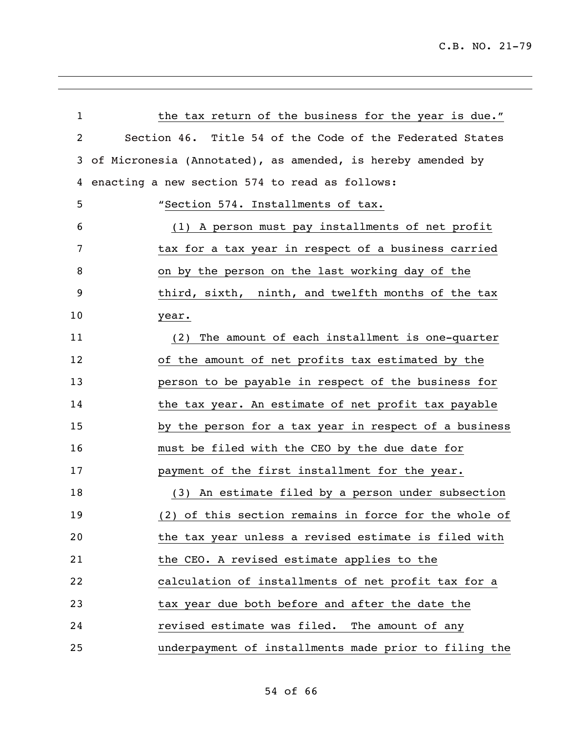| $\mathbf 1$ | the tax return of the business for the year is due."        |
|-------------|-------------------------------------------------------------|
| 2           | Section 46. Title 54 of the Code of the Federated States    |
| 3           | of Micronesia (Annotated), as amended, is hereby amended by |
| 4           | enacting a new section 574 to read as follows:              |
| 5           | "Section 574. Installments of tax.                          |
| 6           | (1) A person must pay installments of net profit            |
| 7           | tax for a tax year in respect of a business carried         |
| 8           | on by the person on the last working day of the             |
| 9           | third, sixth, ninth, and twelfth months of the tax          |
| 10          | year.                                                       |
| 11          | The amount of each installment is one-quarter<br>(2)        |
| 12          | of the amount of net profits tax estimated by the           |
| 13          | person to be payable in respect of the business for         |
| 14          | the tax year. An estimate of net profit tax payable         |
| 15          | by the person for a tax year in respect of a business       |
| 16          | must be filed with the CEO by the due date for              |
| 17          | payment of the first installment for the year.              |
| 18          | (3) An estimate filed by a person under subsection          |
| 19          | (2) of this section remains in force for the whole of       |
| 20          | the tax year unless a revised estimate is filed with        |
| 21          | the CEO. A revised estimate applies to the                  |
| 22          | calculation of installments of net profit tax for a         |
| 23          | tax year due both before and after the date the             |
| 24          | revised estimate was filed. The amount of any               |
| 25          | underpayment of installments made prior to filing the       |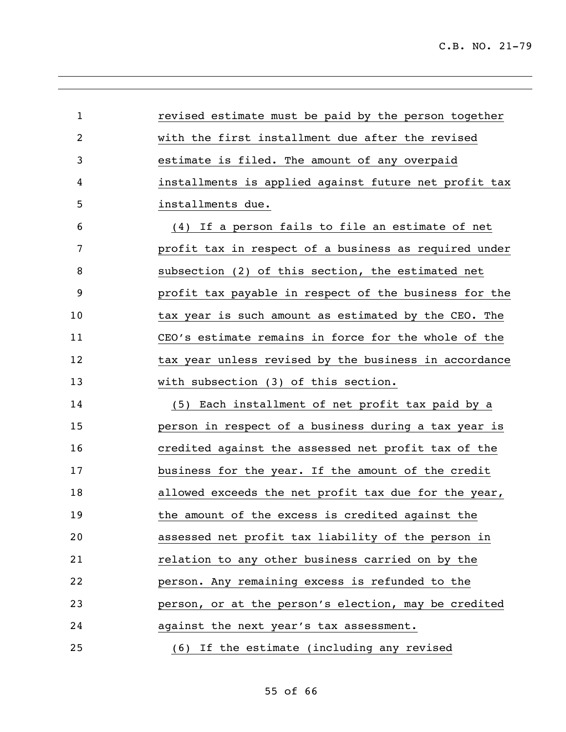| $\mathbf{1}$ | revised estimate must be paid by the person together  |
|--------------|-------------------------------------------------------|
| 2            | with the first installment due after the revised      |
| 3            | estimate is filed. The amount of any overpaid         |
| 4            | installments is applied against future net profit tax |
| 5            | installments due.                                     |
| 6            | (4) If a person fails to file an estimate of net      |
| 7            | profit tax in respect of a business as required under |
| 8            | subsection (2) of this section, the estimated net     |
| 9            | profit tax payable in respect of the business for the |
| 10           | tax year is such amount as estimated by the CEO. The  |
| 11           | CEO's estimate remains in force for the whole of the  |
| 12           | tax year unless revised by the business in accordance |
| 13           | with subsection (3) of this section.                  |
| 14           | (5) Each installment of net profit tax paid by a      |
| 15           | person in respect of a business during a tax year is  |
| 16           | credited against the assessed net profit tax of the   |
| 17           | business for the year. If the amount of the credit    |
| 18           | allowed exceeds the net profit tax due for the year,  |
| 19           | the amount of the excess is credited against the      |
| 20           | assessed net profit tax liability of the person in    |
| 21           | relation to any other business carried on by the      |
| 22           | person. Any remaining excess is refunded to the       |
| 23           | person, or at the person's election, may be credited  |
| 24           | against the next year's tax assessment.               |
| 25           | (6) If the estimate (including any revised            |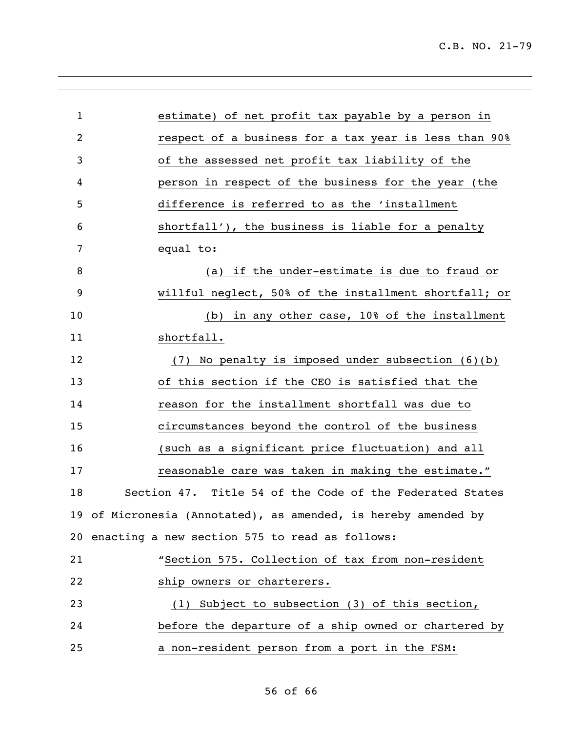| $\mathbf 1$    | estimate) of net profit tax payable by a person in             |
|----------------|----------------------------------------------------------------|
| $\overline{2}$ | respect of a business for a tax year is less than 90%          |
| 3              | of the assessed net profit tax liability of the                |
| 4              | person in respect of the business for the year (the            |
| 5              | difference is referred to as the 'installment                  |
| 6              | shortfall'), the business is liable for a penalty              |
| 7              | equal to:                                                      |
| 8              | if the under-estimate is due to fraud or<br>(a)                |
| 9              | willful neglect, 50% of the installment shortfall; or          |
| 10             | in any other case, 10% of the installment<br>(b)               |
| 11             | shortfall.                                                     |
| 12             | $(7)$ No penalty is imposed under subsection $(6)(b)$          |
| 13             | of this section if the CEO is satisfied that the               |
| 14             | reason for the installment shortfall was due to                |
| 15             | circumstances beyond the control of the business               |
| 16             | (such as a significant price fluctuation) and all              |
| 17             | reasonable care was taken in making the estimate."             |
| 18             | Section 47. Title 54 of the Code of the Federated States       |
|                | 19 of Micronesia (Annotated), as amended, is hereby amended by |
|                | 20 enacting a new section 575 to read as follows:              |
| 21             | "Section 575. Collection of tax from non-resident              |
| 22             | ship owners or charterers.                                     |
| 23             | (1) Subject to subsection (3) of this section,                 |
| 24             | before the departure of a ship owned or chartered by           |
| 25             | a non-resident person from a port in the FSM:                  |
|                |                                                                |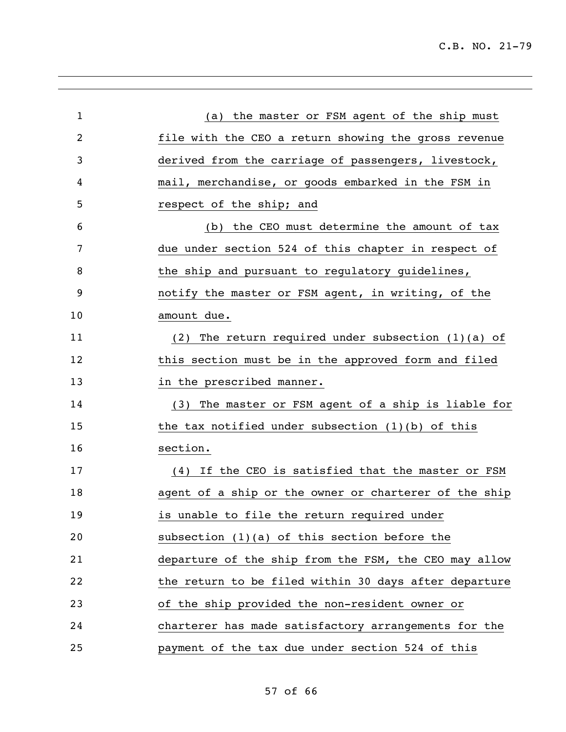| $\mathbf{1}$ | (a) the master or FSM agent of the ship must          |
|--------------|-------------------------------------------------------|
| 2            | file with the CEO a return showing the gross revenue  |
| 3            | derived from the carriage of passengers, livestock,   |
| 4            | mail, merchandise, or goods embarked in the FSM in    |
| 5            | respect of the ship; and                              |
| 6            | (b) the CEO must determine the amount of tax          |
| 7            | due under section 524 of this chapter in respect of   |
| 8            | the ship and pursuant to regulatory guidelines,       |
| 9            | notify the master or FSM agent, in writing, of the    |
| 10           | amount due.                                           |
| 11           | (2) The return required under subsection $(1)(a)$ of  |
| 12           | this section must be in the approved form and filed   |
| 13           | in the prescribed manner.                             |
| 14           | (3) The master or FSM agent of a ship is liable for   |
| 15           | the tax notified under subsection $(1)(b)$ of this    |
| 16           | section.                                              |
| 17           | (4) If the CEO is satisfied that the master or FSM    |
| 18           | agent of a ship or the owner or charterer of the ship |
| 19           | is unable to file the return required under           |
| 20           | subsection $(1)(a)$ of this section before the        |
| 21           | departure of the ship from the FSM, the CEO may allow |
| 22           | the return to be filed within 30 days after departure |
| 23           | of the ship provided the non-resident owner or        |
| 24           | charterer has made satisfactory arrangements for the  |
| 25           | payment of the tax due under section 524 of this      |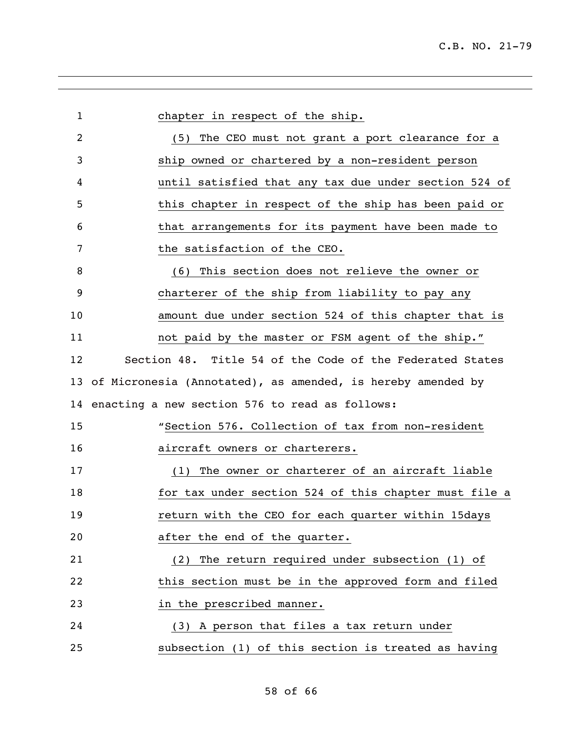| $\mathbf{1}$ | chapter in respect of the ship.                                |
|--------------|----------------------------------------------------------------|
| 2            | (5) The CEO must not grant a port clearance for a              |
| 3            | ship owned or chartered by a non-resident person               |
| 4            | until satisfied that any tax due under section 524 of          |
| 5            | this chapter in respect of the ship has been paid or           |
| 6            | that arrangements for its payment have been made to            |
| 7            | the satisfaction of the CEO.                                   |
| 8            | (6) This section does not relieve the owner or                 |
| 9            | charterer of the ship from liability to pay any                |
| 10           | amount due under section 524 of this chapter that is           |
| 11           | not paid by the master or FSM agent of the ship."              |
| 12           | Section 48. Title 54 of the Code of the Federated States       |
|              | 13 of Micronesia (Annotated), as amended, is hereby amended by |
|              | 14 enacting a new section 576 to read as follows:              |
| 15           | "Section 576. Collection of tax from non-resident              |
| 16           | aircraft owners or charterers.                                 |
| 17           | (1) The owner or charterer of an aircraft liable               |
| 18           | for tax under section 524 of this chapter must file a          |
| 19           | return with the CEO for each quarter within 15days             |
| 20           | after the end of the quarter.                                  |
| 21           | (2) The return required under subsection (1) of                |
| 22           | this section must be in the approved form and filed            |
| 23           | in the prescribed manner.                                      |
| 24           | (3) A person that files a tax return under                     |
| 25           | subsection (1) of this section is treated as having            |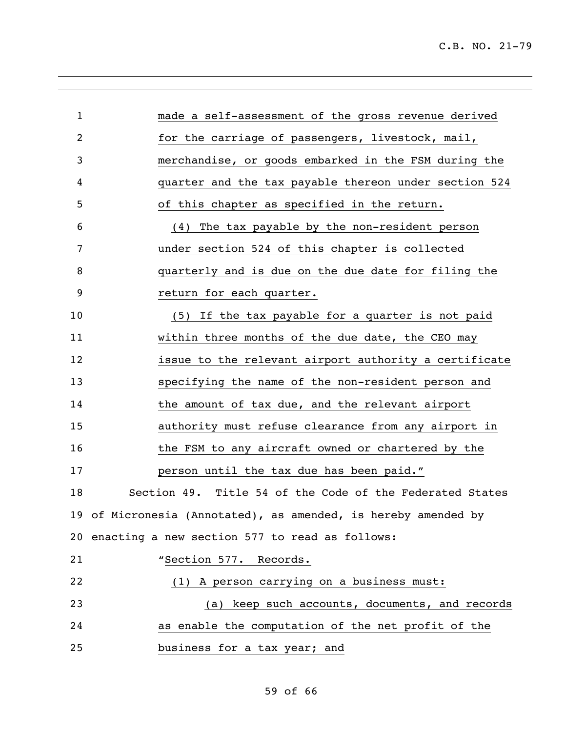| $\mathbf 1$    | made a self-assessment of the gross revenue derived            |
|----------------|----------------------------------------------------------------|
| $\overline{2}$ | for the carriage of passengers, livestock, mail,               |
| 3              | merchandise, or goods embarked in the FSM during the           |
| 4              | quarter and the tax payable thereon under section 524          |
| 5              | of this chapter as specified in the return.                    |
| 6              | (4) The tax payable by the non-resident person                 |
| 7              | under section 524 of this chapter is collected                 |
| 8              | quarterly and is due on the due date for filing the            |
| 9              | return for each quarter.                                       |
| 10             | (5) If the tax payable for a quarter is not paid               |
| 11             | within three months of the due date, the CEO may               |
| 12             | issue to the relevant airport authority a certificate          |
| 13             | specifying the name of the non-resident person and             |
| 14             | the amount of tax due, and the relevant airport                |
| 15             | authority must refuse clearance from any airport in            |
| 16             | the FSM to any aircraft owned or chartered by the              |
| 17             | person until the tax due has been paid."                       |
| 18             | Section 49. Title 54 of the Code of the Federated States       |
|                | 19 of Micronesia (Annotated), as amended, is hereby amended by |
|                | 20 enacting a new section 577 to read as follows:              |
| 21             | "Section 577. Records.                                         |
| 22             | (1) A person carrying on a business must:                      |
| 23             | (a) keep such accounts, documents, and records                 |
| 24             | as enable the computation of the net profit of the             |
| 25             | business for a tax year; and                                   |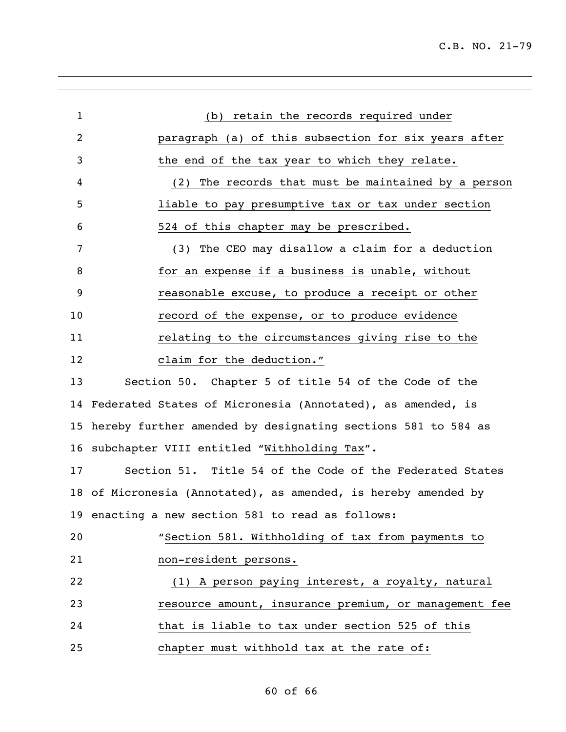| $\overline{2}$<br>paragraph (a) of this subsection for six years after<br>3<br>the end of the tax year to which they relate.<br>The records that must be maintained by a person<br>4<br>(2)<br>5<br>liable to pay presumptive tax or tax under section<br>524 of this chapter may be prescribed.<br>6<br>7<br>The CEO may disallow a claim for a deduction<br>(3)<br>for an expense if a business is unable, without<br>8<br>9<br>reasonable excuse, to produce a receipt or other<br>10<br>record of the expense, or to produce evidence<br>11<br>relating to the circumstances giving rise to the<br>claim for the deduction."<br>12<br>Section 50. Chapter 5 of title 54 of the Code of the<br>13<br>Federated States of Micronesia (Annotated), as amended, is<br>14<br>hereby further amended by designating sections 581 to 584 as<br>15<br>subchapter VIII entitled "Withholding Tax".<br>16<br>Section 51. Title 54 of the Code of the Federated States<br>17<br>18 of Micronesia (Annotated), as amended, is hereby amended by<br>19 enacting a new section 581 to read as follows: |  |
|----------------------------------------------------------------------------------------------------------------------------------------------------------------------------------------------------------------------------------------------------------------------------------------------------------------------------------------------------------------------------------------------------------------------------------------------------------------------------------------------------------------------------------------------------------------------------------------------------------------------------------------------------------------------------------------------------------------------------------------------------------------------------------------------------------------------------------------------------------------------------------------------------------------------------------------------------------------------------------------------------------------------------------------------------------------------------------------------|--|
|                                                                                                                                                                                                                                                                                                                                                                                                                                                                                                                                                                                                                                                                                                                                                                                                                                                                                                                                                                                                                                                                                              |  |
|                                                                                                                                                                                                                                                                                                                                                                                                                                                                                                                                                                                                                                                                                                                                                                                                                                                                                                                                                                                                                                                                                              |  |
|                                                                                                                                                                                                                                                                                                                                                                                                                                                                                                                                                                                                                                                                                                                                                                                                                                                                                                                                                                                                                                                                                              |  |
|                                                                                                                                                                                                                                                                                                                                                                                                                                                                                                                                                                                                                                                                                                                                                                                                                                                                                                                                                                                                                                                                                              |  |
|                                                                                                                                                                                                                                                                                                                                                                                                                                                                                                                                                                                                                                                                                                                                                                                                                                                                                                                                                                                                                                                                                              |  |
|                                                                                                                                                                                                                                                                                                                                                                                                                                                                                                                                                                                                                                                                                                                                                                                                                                                                                                                                                                                                                                                                                              |  |
|                                                                                                                                                                                                                                                                                                                                                                                                                                                                                                                                                                                                                                                                                                                                                                                                                                                                                                                                                                                                                                                                                              |  |
|                                                                                                                                                                                                                                                                                                                                                                                                                                                                                                                                                                                                                                                                                                                                                                                                                                                                                                                                                                                                                                                                                              |  |
|                                                                                                                                                                                                                                                                                                                                                                                                                                                                                                                                                                                                                                                                                                                                                                                                                                                                                                                                                                                                                                                                                              |  |
|                                                                                                                                                                                                                                                                                                                                                                                                                                                                                                                                                                                                                                                                                                                                                                                                                                                                                                                                                                                                                                                                                              |  |
|                                                                                                                                                                                                                                                                                                                                                                                                                                                                                                                                                                                                                                                                                                                                                                                                                                                                                                                                                                                                                                                                                              |  |
|                                                                                                                                                                                                                                                                                                                                                                                                                                                                                                                                                                                                                                                                                                                                                                                                                                                                                                                                                                                                                                                                                              |  |
|                                                                                                                                                                                                                                                                                                                                                                                                                                                                                                                                                                                                                                                                                                                                                                                                                                                                                                                                                                                                                                                                                              |  |
|                                                                                                                                                                                                                                                                                                                                                                                                                                                                                                                                                                                                                                                                                                                                                                                                                                                                                                                                                                                                                                                                                              |  |
|                                                                                                                                                                                                                                                                                                                                                                                                                                                                                                                                                                                                                                                                                                                                                                                                                                                                                                                                                                                                                                                                                              |  |
|                                                                                                                                                                                                                                                                                                                                                                                                                                                                                                                                                                                                                                                                                                                                                                                                                                                                                                                                                                                                                                                                                              |  |
|                                                                                                                                                                                                                                                                                                                                                                                                                                                                                                                                                                                                                                                                                                                                                                                                                                                                                                                                                                                                                                                                                              |  |
|                                                                                                                                                                                                                                                                                                                                                                                                                                                                                                                                                                                                                                                                                                                                                                                                                                                                                                                                                                                                                                                                                              |  |
| "Section 581. Withholding of tax from payments to<br>20                                                                                                                                                                                                                                                                                                                                                                                                                                                                                                                                                                                                                                                                                                                                                                                                                                                                                                                                                                                                                                      |  |
| 21<br>non-resident persons.                                                                                                                                                                                                                                                                                                                                                                                                                                                                                                                                                                                                                                                                                                                                                                                                                                                                                                                                                                                                                                                                  |  |
| 22<br>(1) A person paying interest, a royalty, natural                                                                                                                                                                                                                                                                                                                                                                                                                                                                                                                                                                                                                                                                                                                                                                                                                                                                                                                                                                                                                                       |  |
| resource amount, insurance premium, or management fee<br>23                                                                                                                                                                                                                                                                                                                                                                                                                                                                                                                                                                                                                                                                                                                                                                                                                                                                                                                                                                                                                                  |  |
| that is liable to tax under section 525 of this<br>24                                                                                                                                                                                                                                                                                                                                                                                                                                                                                                                                                                                                                                                                                                                                                                                                                                                                                                                                                                                                                                        |  |
| 25<br>chapter must withhold tax at the rate of:                                                                                                                                                                                                                                                                                                                                                                                                                                                                                                                                                                                                                                                                                                                                                                                                                                                                                                                                                                                                                                              |  |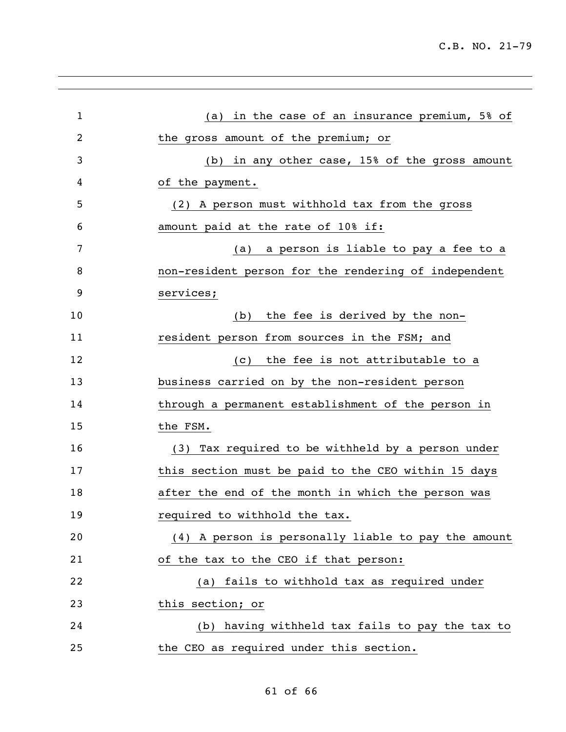| $\mathbf 1$    | in the case of an insurance premium, 5% of<br>(a)    |
|----------------|------------------------------------------------------|
| $\overline{2}$ | the gross amount of the premium; or                  |
| 3              | (b) in any other case, 15% of the gross amount       |
| 4              | of the payment.                                      |
| 5              | (2) A person must withhold tax from the gross        |
| 6              | amount paid at the rate of 10% if:                   |
| 7              | a person is liable to pay a fee to a<br>(a)          |
| 8              | non-resident person for the rendering of independent |
| 9              | services;                                            |
| 10             | the fee is derived by the non-<br>(b)                |
| 11             | resident person from sources in the FSM; and         |
| 12             | the fee is not attributable to a<br>(C)              |
| 13             | business carried on by the non-resident person       |
| 14             | through a permanent establishment of the person in   |
| 15             | the FSM.                                             |
| 16             | (3) Tax required to be withheld by a person under    |
| 17             | this section must be paid to the CEO within 15 days  |
| 18             | after the end of the month in which the person was   |
| 19             | required to withhold the tax.                        |
| 20             | (4) A person is personally liable to pay the amount  |
| 21             | of the tax to the CEO if that person:                |
| 22             | fails to withhold tax as required under<br>(a)       |
| 23             | this section; or                                     |
| 24             | (b) having withheld tax fails to pay the tax to      |
| 25             | the CEO as required under this section.              |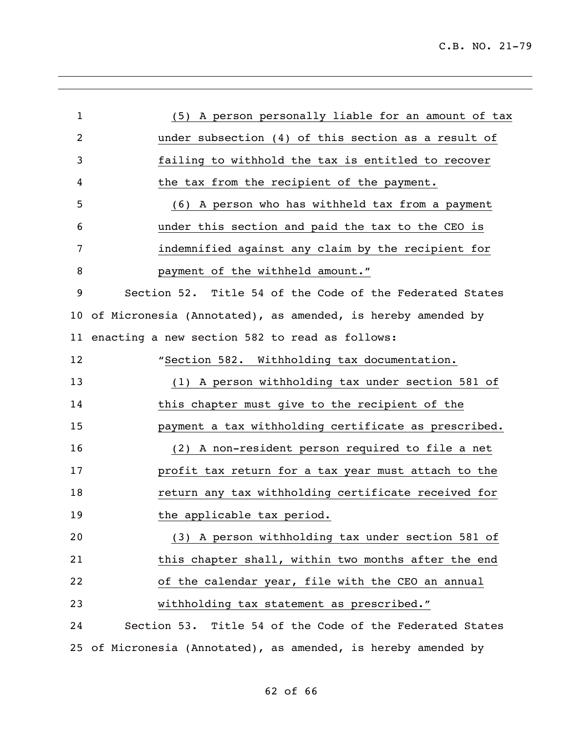| $\mathbf 1$ | (5) A person personally liable for an amount of tax            |
|-------------|----------------------------------------------------------------|
| 2           | under subsection (4) of this section as a result of            |
| 3           | failing to withhold the tax is entitled to recover             |
| 4           | the tax from the recipient of the payment.                     |
| 5           | (6) A person who has withheld tax from a payment               |
| 6           | under this section and paid the tax to the CEO is              |
| 7           | indemnified against any claim by the recipient for             |
| 8           | payment of the withheld amount."                               |
| 9           | Section 52. Title 54 of the Code of the Federated States       |
|             | 10 of Micronesia (Annotated), as amended, is hereby amended by |
| 11          | enacting a new section 582 to read as follows:                 |
| 12          | "Section 582. Withholding tax documentation.                   |
| 13          | (1) A person withholding tax under section 581 of              |
| 14          | this chapter must give to the recipient of the                 |
| 15          | payment a tax withholding certificate as prescribed.           |
| 16          | (2) A non-resident person required to file a net               |
| 17          | profit tax return for a tax year must attach to the            |
| 18          | return any tax withholding certificate received for            |
| 19          | the applicable tax period.                                     |
| 20          | (3) A person withholding tax under section 581 of              |
| 21          | this chapter shall, within two months after the end            |
| 22          | of the calendar year, file with the CEO an annual              |
| 23          | withholding tax statement as prescribed."                      |
| 24          | Section 53. Title 54 of the Code of the Federated States       |
| 25          | of Micronesia (Annotated), as amended, is hereby amended by    |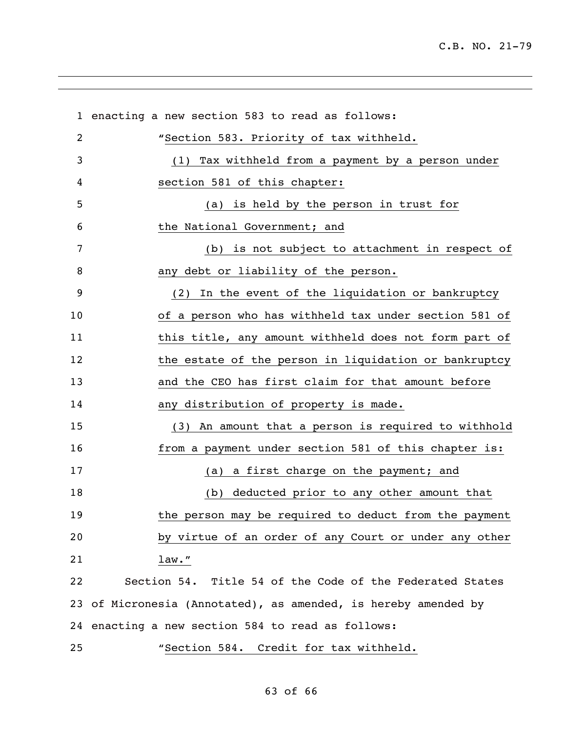enacting a new section 583 to read as follows: **"**Section 583. Priority of tax withheld. (1) Tax withheld from a payment by a person under section 581 of this chapter: (a) is held by the person in trust for the National Government; and (b) is not subject to attachment in respect of any debt or liability of the person. (2) In the event of the liquidation or bankruptcy of a person who has withheld tax under section 581 of 11 this title, any amount withheld does not form part of 12 the estate of the person in liquidation or bankruptcy and the CEO has first claim for that amount before 14 any distribution of property is made. (3) An amount that a person is required to withhold from a payment under section 581 of this chapter is: 17 (a) a first charge on the payment; and (b) deducted prior to any other amount that the person may be required to deduct from the payment by virtue of an order of any Court or under any other law." Section 54. Title 54 of the Code of the Federated States of Micronesia (Annotated), as amended, is hereby amended by enacting a new section 584 to read as follows: "Section 584. Credit for tax withheld.

## of 66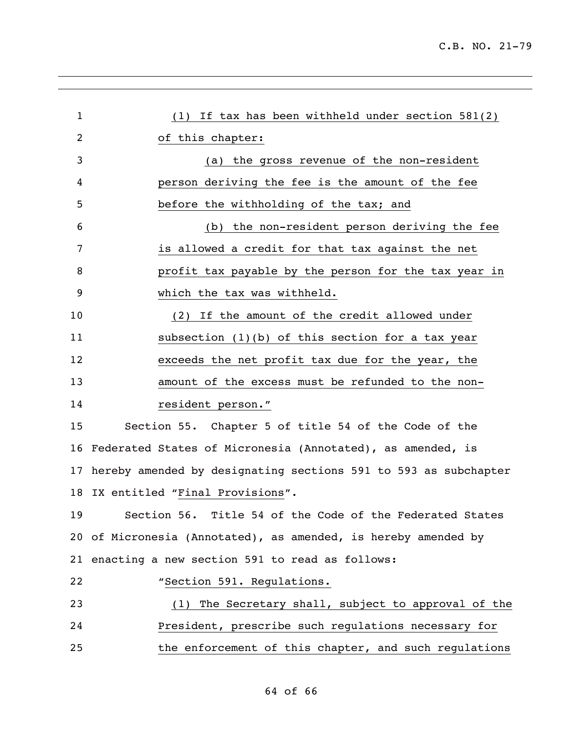| $\mathbf 1$ | (1) If tax has been withheld under section 581(2)               |
|-------------|-----------------------------------------------------------------|
| 2           | of this chapter:                                                |
| 3           | (a) the gross revenue of the non-resident                       |
| 4           | person deriving the fee is the amount of the fee                |
| 5           | before the withholding of the tax; and                          |
| 6           | (b) the non-resident person deriving the fee                    |
| 7           | is allowed a credit for that tax against the net                |
| 8           | profit tax payable by the person for the tax year in            |
| 9           | which the tax was withheld.                                     |
| 10          | (2) If the amount of the credit allowed under                   |
| 11          | subsection $(1)(b)$ of this section for a tax year              |
| 12          | exceeds the net profit tax due for the year, the                |
| 13          | amount of the excess must be refunded to the non-               |
| 14          | resident person."                                               |
| 15          | Section 55. Chapter 5 of title 54 of the Code of the            |
| 16          | Federated States of Micronesia (Annotated), as amended, is      |
| 17          | hereby amended by designating sections 591 to 593 as subchapter |
| 18          | IX entitled "Final Provisions".                                 |
| 19          | Title 54 of the Code of the Federated States<br>Section 56.     |
|             | 20 of Micronesia (Annotated), as amended, is hereby amended by  |
|             | 21 enacting a new section 591 to read as follows:               |
| 22          | "Section 591. Regulations.                                      |
| 23          | (1) The Secretary shall, subject to approval of the             |
| 24          | President, prescribe such regulations necessary for             |
| 25          | the enforcement of this chapter, and such regulations           |
|             |                                                                 |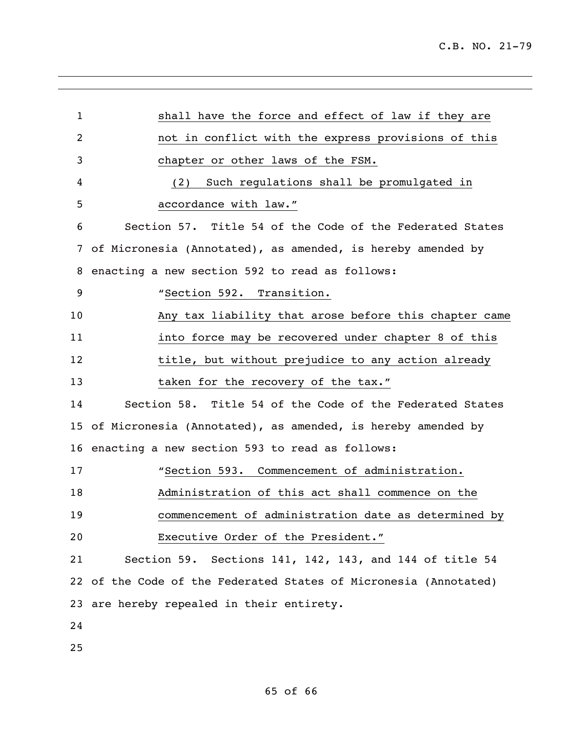| $\mathbf{1}$ | shall have the force and effect of law if they are               |
|--------------|------------------------------------------------------------------|
| 2            | not in conflict with the express provisions of this              |
| 3            | chapter or other laws of the FSM.                                |
| 4            | Such regulations shall be promulgated in<br>(2)                  |
| 5            | accordance with law."                                            |
| 6            | Section 57. Title 54 of the Code of the Federated States         |
| 7            | of Micronesia (Annotated), as amended, is hereby amended by      |
| 8            | enacting a new section 592 to read as follows:                   |
| 9            | "Section 592. Transition.                                        |
| 10           | Any tax liability that arose before this chapter came            |
| 11           | into force may be recovered under chapter 8 of this              |
| 12           | title, but without prejudice to any action already               |
| 13           | taken for the recovery of the tax."                              |
| 14           | Section 58. Title 54 of the Code of the Federated States         |
| 15           | of Micronesia (Annotated), as amended, is hereby amended by      |
| 16           | enacting a new section 593 to read as follows:                   |
| 17           | "Section 593. Commencement of administration.                    |
| 18           | Administration of this act shall commence on the                 |
| 19           | commencement of administration date as determined by             |
| 20           | Executive Order of the President."                               |
| 21           | Section 59. Sections 141, 142, 143, and 144 of title 54          |
|              | 22 of the Code of the Federated States of Micronesia (Annotated) |
|              | 23 are hereby repealed in their entirety.                        |
| 24           |                                                                  |
| 25           |                                                                  |